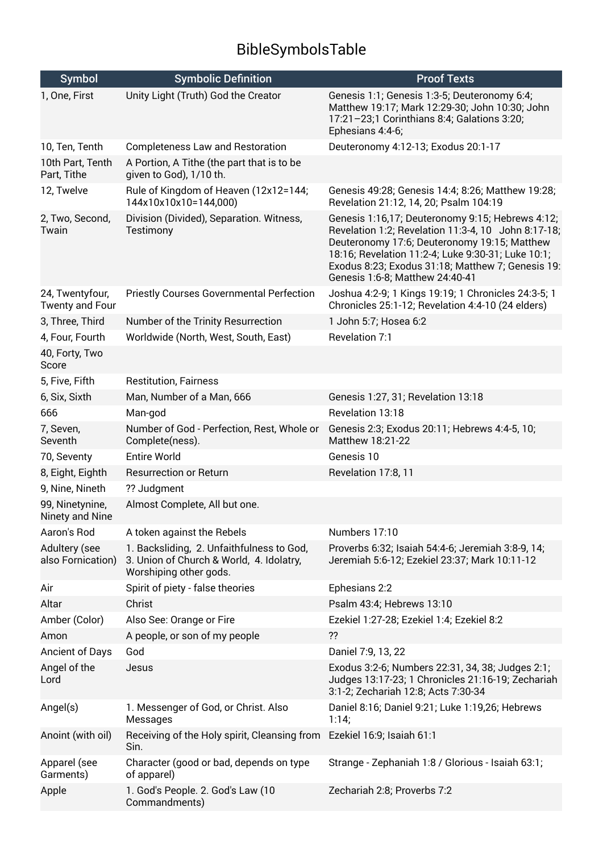## BibleSymbolsTable

| <b>Symbol</b>                      | <b>Symbolic Definition</b>                                                                                      | <b>Proof Texts</b>                                                                                                                                                                                                                                                                                    |
|------------------------------------|-----------------------------------------------------------------------------------------------------------------|-------------------------------------------------------------------------------------------------------------------------------------------------------------------------------------------------------------------------------------------------------------------------------------------------------|
| 1, One, First                      | Unity Light (Truth) God the Creator                                                                             | Genesis 1:1; Genesis 1:3-5; Deuteronomy 6:4;<br>Matthew 19:17; Mark 12:29-30; John 10:30; John<br>17:21-23;1 Corinthians 8:4; Galations 3:20;<br>Ephesians 4:4-6;                                                                                                                                     |
| 10, Ten, Tenth                     | <b>Completeness Law and Restoration</b>                                                                         | Deuteronomy 4:12-13; Exodus 20:1-17                                                                                                                                                                                                                                                                   |
| 10th Part, Tenth<br>Part, Tithe    | A Portion, A Tithe (the part that is to be<br>given to God), 1/10 th.                                           |                                                                                                                                                                                                                                                                                                       |
| 12, Twelve                         | Rule of Kingdom of Heaven (12x12=144;<br>144x10x10x10=144,000)                                                  | Genesis 49:28; Genesis 14:4; 8:26; Matthew 19:28;<br>Revelation 21:12, 14, 20; Psalm 104:19                                                                                                                                                                                                           |
| 2, Two, Second,<br>Twain           | Division (Divided), Separation. Witness,<br>Testimony                                                           | Genesis 1:16,17; Deuteronomy 9:15; Hebrews 4:12;<br>Revelation 1:2; Revelation 11:3-4, 10 John 8:17-18;<br>Deuteronomy 17:6; Deuteronomy 19:15; Matthew<br>18:16; Revelation 11:2-4; Luke 9:30-31; Luke 10:1;<br>Exodus 8:23; Exodus 31:18; Matthew 7; Genesis 19:<br>Genesis 1:6-8; Matthew 24:40-41 |
| 24, Twentyfour,<br>Twenty and Four | <b>Priestly Courses Governmental Perfection</b>                                                                 | Joshua 4:2-9; 1 Kings 19:19; 1 Chronicles 24:3-5; 1<br>Chronicles 25:1-12; Revelation 4:4-10 (24 elders)                                                                                                                                                                                              |
| 3, Three, Third                    | Number of the Trinity Resurrection                                                                              | 1 John 5:7; Hosea 6:2                                                                                                                                                                                                                                                                                 |
| 4, Four, Fourth                    | Worldwide (North, West, South, East)                                                                            | Revelation 7:1                                                                                                                                                                                                                                                                                        |
| 40, Forty, Two<br>Score            |                                                                                                                 |                                                                                                                                                                                                                                                                                                       |
| 5, Five, Fifth                     | <b>Restitution, Fairness</b>                                                                                    |                                                                                                                                                                                                                                                                                                       |
| 6, Six, Sixth                      | Man, Number of a Man, 666                                                                                       | Genesis 1:27, 31; Revelation 13:18                                                                                                                                                                                                                                                                    |
| 666                                | Man-god                                                                                                         | Revelation 13:18                                                                                                                                                                                                                                                                                      |
| 7, Seven,<br>Seventh               | Number of God - Perfection, Rest, Whole or<br>Complete(ness).                                                   | Genesis 2:3; Exodus 20:11; Hebrews 4:4-5, 10;<br>Matthew 18:21-22                                                                                                                                                                                                                                     |
| 70, Seventy                        | <b>Entire World</b>                                                                                             | Genesis 10                                                                                                                                                                                                                                                                                            |
| 8, Eight, Eighth                   | <b>Resurrection or Return</b>                                                                                   | Revelation 17:8, 11                                                                                                                                                                                                                                                                                   |
| 9, Nine, Nineth                    | ?? Judgment                                                                                                     |                                                                                                                                                                                                                                                                                                       |
| 99, Ninetynine,<br>Ninety and Nine | Almost Complete, All but one.                                                                                   |                                                                                                                                                                                                                                                                                                       |
| Aaron's Rod                        | A token against the Rebels                                                                                      | Numbers 17:10                                                                                                                                                                                                                                                                                         |
| Adultery (see<br>also Fornication) | 1. Backsliding, 2. Unfaithfulness to God,<br>3. Union of Church & World, 4. Idolatry,<br>Worshiping other gods. | Proverbs 6:32; Isaiah 54:4-6; Jeremiah 3:8-9, 14;<br>Jeremiah 5:6-12; Ezekiel 23:37; Mark 10:11-12                                                                                                                                                                                                    |
| Air                                | Spirit of piety - false theories                                                                                | Ephesians 2:2                                                                                                                                                                                                                                                                                         |
| Altar                              | Christ                                                                                                          | Psalm 43:4; Hebrews 13:10                                                                                                                                                                                                                                                                             |
| Amber (Color)                      | Also See: Orange or Fire                                                                                        | Ezekiel 1:27-28; Ezekiel 1:4; Ezekiel 8:2                                                                                                                                                                                                                                                             |
| Amon                               | A people, or son of my people                                                                                   | ??                                                                                                                                                                                                                                                                                                    |
| Ancient of Days                    | God                                                                                                             | Daniel 7:9, 13, 22                                                                                                                                                                                                                                                                                    |
| Angel of the<br>Lord               | Jesus                                                                                                           | Exodus 3:2-6; Numbers 22:31, 34, 38; Judges 2:1;<br>Judges 13:17-23; 1 Chronicles 21:16-19; Zechariah<br>3:1-2; Zechariah 12:8; Acts 7:30-34                                                                                                                                                          |
| Angel(s)                           | 1. Messenger of God, or Christ. Also<br>Messages                                                                | Daniel 8:16; Daniel 9:21; Luke 1:19,26; Hebrews<br>1:14;                                                                                                                                                                                                                                              |
| Anoint (with oil)                  | Receiving of the Holy spirit, Cleansing from<br>Sin.                                                            | Ezekiel 16:9; Isaiah 61:1                                                                                                                                                                                                                                                                             |
| Apparel (see<br>Garments)          | Character (good or bad, depends on type<br>of apparel)                                                          | Strange - Zephaniah 1:8 / Glorious - Isaiah 63:1;                                                                                                                                                                                                                                                     |
| Apple                              | 1. God's People. 2. God's Law (10<br>Commandments)                                                              | Zechariah 2:8; Proverbs 7:2                                                                                                                                                                                                                                                                           |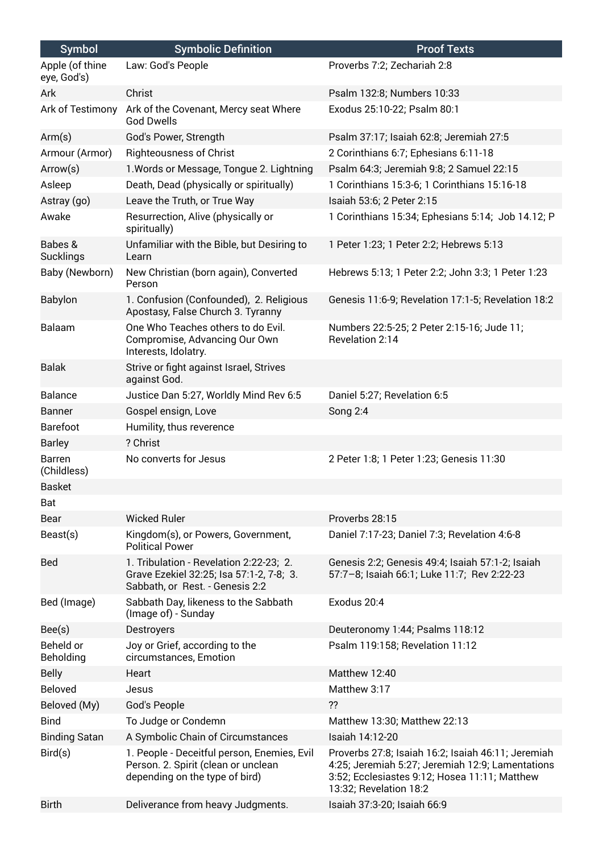| <b>Symbol</b>                  | <b>Symbolic Definition</b>                                                                                             | <b>Proof Texts</b>                                                                                                                                                                |
|--------------------------------|------------------------------------------------------------------------------------------------------------------------|-----------------------------------------------------------------------------------------------------------------------------------------------------------------------------------|
| Apple (of thine<br>eye, God's) | Law: God's People                                                                                                      | Proverbs 7:2; Zechariah 2:8                                                                                                                                                       |
| Ark                            | Christ                                                                                                                 | Psalm 132:8; Numbers 10:33                                                                                                                                                        |
| Ark of Testimony               | Ark of the Covenant, Mercy seat Where<br><b>God Dwells</b>                                                             | Exodus 25:10-22; Psalm 80:1                                                                                                                                                       |
| Arm(s)                         | God's Power, Strength                                                                                                  | Psalm 37:17; Isaiah 62:8; Jeremiah 27:5                                                                                                                                           |
| Armour (Armor)                 | <b>Righteousness of Christ</b>                                                                                         | 2 Corinthians 6:7; Ephesians 6:11-18                                                                                                                                              |
| Arrow(s)                       | 1. Words or Message, Tongue 2. Lightning                                                                               | Psalm 64:3; Jeremiah 9:8; 2 Samuel 22:15                                                                                                                                          |
| Asleep                         | Death, Dead (physically or spiritually)                                                                                | 1 Corinthians 15:3-6; 1 Corinthians 15:16-18                                                                                                                                      |
| Astray (go)                    | Leave the Truth, or True Way                                                                                           | Isaiah 53:6; 2 Peter 2:15                                                                                                                                                         |
| Awake                          | Resurrection, Alive (physically or<br>spiritually)                                                                     | 1 Corinthians 15:34; Ephesians 5:14; Job 14.12; P                                                                                                                                 |
| Babes &<br>Sucklings           | Unfamiliar with the Bible, but Desiring to<br>Learn                                                                    | 1 Peter 1:23; 1 Peter 2:2; Hebrews 5:13                                                                                                                                           |
| Baby (Newborn)                 | New Christian (born again), Converted<br>Person                                                                        | Hebrews 5:13; 1 Peter 2:2; John 3:3; 1 Peter 1:23                                                                                                                                 |
| <b>Babylon</b>                 | 1. Confusion (Confounded), 2. Religious<br>Apostasy, False Church 3. Tyranny                                           | Genesis 11:6-9; Revelation 17:1-5; Revelation 18:2                                                                                                                                |
| Balaam                         | One Who Teaches others to do Evil.<br>Compromise, Advancing Our Own<br>Interests, Idolatry.                            | Numbers 22:5-25; 2 Peter 2:15-16; Jude 11;<br>Revelation 2:14                                                                                                                     |
| <b>Balak</b>                   | Strive or fight against Israel, Strives<br>against God.                                                                |                                                                                                                                                                                   |
| <b>Balance</b>                 | Justice Dan 5:27, Worldly Mind Rev 6:5                                                                                 | Daniel 5:27; Revelation 6:5                                                                                                                                                       |
| <b>Banner</b>                  | Gospel ensign, Love                                                                                                    | Song 2:4                                                                                                                                                                          |
| <b>Barefoot</b>                | Humility, thus reverence                                                                                               |                                                                                                                                                                                   |
| <b>Barley</b>                  | ? Christ                                                                                                               |                                                                                                                                                                                   |
| Barren<br>(Childless)          | No converts for Jesus                                                                                                  | 2 Peter 1:8; 1 Peter 1:23; Genesis 11:30                                                                                                                                          |
| <b>Basket</b>                  |                                                                                                                        |                                                                                                                                                                                   |
| Bat                            |                                                                                                                        |                                                                                                                                                                                   |
| Bear                           | <b>Wicked Ruler</b>                                                                                                    | Proverbs 28:15                                                                                                                                                                    |
| Beast(s)                       | Kingdom(s), or Powers, Government,<br><b>Political Power</b>                                                           | Daniel 7:17-23; Daniel 7:3; Revelation 4:6-8                                                                                                                                      |
| Bed                            | 1. Tribulation - Revelation 2:22-23; 2.<br>Grave Ezekiel 32:25; Isa 57:1-2, 7-8; 3.<br>Sabbath, or Rest. - Genesis 2:2 | Genesis 2:2; Genesis 49:4; Isaiah 57:1-2; Isaiah<br>57:7-8; Isaiah 66:1; Luke 11:7; Rev 2:22-23                                                                                   |
| Bed (Image)                    | Sabbath Day, likeness to the Sabbath<br>(Image of) - Sunday                                                            | Exodus 20:4                                                                                                                                                                       |
| Bee(s)                         | Destroyers                                                                                                             | Deuteronomy 1:44; Psalms 118:12                                                                                                                                                   |
| Beheld or<br><b>Beholding</b>  | Joy or Grief, according to the<br>circumstances, Emotion                                                               | Psalm 119:158; Revelation 11:12                                                                                                                                                   |
| <b>Belly</b>                   | Heart                                                                                                                  | Matthew 12:40                                                                                                                                                                     |
| Beloved                        | Jesus                                                                                                                  | Matthew 3:17                                                                                                                                                                      |
| Beloved (My)                   | God's People                                                                                                           | ??                                                                                                                                                                                |
| <b>Bind</b>                    | To Judge or Condemn                                                                                                    | Matthew 13:30; Matthew 22:13                                                                                                                                                      |
| <b>Binding Satan</b>           | A Symbolic Chain of Circumstances                                                                                      | Isaiah 14:12-20                                                                                                                                                                   |
| Bird(s)                        | 1. People - Deceitful person, Enemies, Evil<br>Person. 2. Spirit (clean or unclean<br>depending on the type of bird)   | Proverbs 27:8; Isaiah 16:2; Isaiah 46:11; Jeremiah<br>4:25; Jeremiah 5:27; Jeremiah 12:9; Lamentations<br>3:52; Ecclesiastes 9:12; Hosea 11:11; Matthew<br>13:32; Revelation 18:2 |
| <b>Birth</b>                   | Deliverance from heavy Judgments.                                                                                      | Isaiah 37:3-20; Isaiah 66:9                                                                                                                                                       |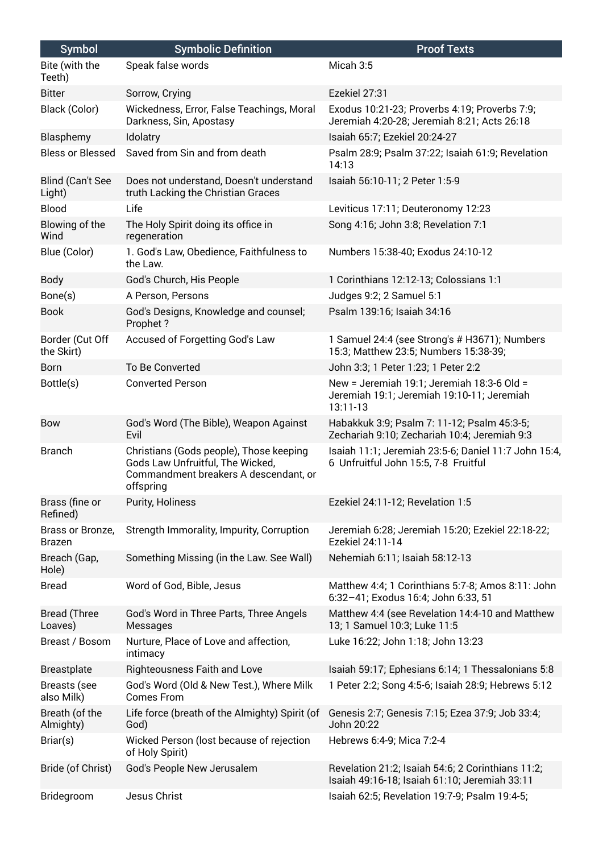| <b>Symbol</b>                  | <b>Symbolic Definition</b>                                                                                                        | <b>Proof Texts</b>                                                                                   |
|--------------------------------|-----------------------------------------------------------------------------------------------------------------------------------|------------------------------------------------------------------------------------------------------|
| Bite (with the<br>Teeth)       | Speak false words                                                                                                                 | Micah 3:5                                                                                            |
| <b>Bitter</b>                  | Sorrow, Crying                                                                                                                    | Ezekiel 27:31                                                                                        |
| Black (Color)                  | Wickedness, Error, False Teachings, Moral<br>Darkness, Sin, Apostasy                                                              | Exodus 10:21-23; Proverbs 4:19; Proverbs 7:9;<br>Jeremiah 4:20-28; Jeremiah 8:21; Acts 26:18         |
| Blasphemy                      | Idolatry                                                                                                                          | Isaiah 65:7; Ezekiel 20:24-27                                                                        |
| <b>Bless or Blessed</b>        | Saved from Sin and from death                                                                                                     | Psalm 28:9; Psalm 37:22; Isaiah 61:9; Revelation<br>14:13                                            |
| Blind (Can't See<br>Light)     | Does not understand, Doesn't understand<br>truth Lacking the Christian Graces                                                     | Isaiah 56:10-11; 2 Peter 1:5-9                                                                       |
| <b>Blood</b>                   | Life                                                                                                                              | Leviticus 17:11; Deuteronomy 12:23                                                                   |
| Blowing of the<br>Wind         | The Holy Spirit doing its office in<br>regeneration                                                                               | Song 4:16; John 3:8; Revelation 7:1                                                                  |
| Blue (Color)                   | 1. God's Law, Obedience, Faithfulness to<br>the Law.                                                                              | Numbers 15:38-40; Exodus 24:10-12                                                                    |
| <b>Body</b>                    | God's Church, His People                                                                                                          | 1 Corinthians 12:12-13; Colossians 1:1                                                               |
| Bone(s)                        | A Person, Persons                                                                                                                 | Judges 9:2; 2 Samuel 5:1                                                                             |
| <b>Book</b>                    | God's Designs, Knowledge and counsel;<br>Prophet?                                                                                 | Psalm 139:16; Isaiah 34:16                                                                           |
| Border (Cut Off<br>the Skirt)  | Accused of Forgetting God's Law                                                                                                   | 1 Samuel 24:4 (see Strong's # H3671); Numbers<br>15:3; Matthew 23:5; Numbers 15:38-39;               |
| <b>Born</b>                    | To Be Converted                                                                                                                   | John 3:3; 1 Peter 1:23; 1 Peter 2:2                                                                  |
| Bottle(s)                      | <b>Converted Person</b>                                                                                                           | New = Jeremiah 19:1; Jeremiah 18:3-6 Old =<br>Jeremiah 19:1; Jeremiah 19:10-11; Jeremiah<br>13:11-13 |
| Bow                            | God's Word (The Bible), Weapon Against<br>Evil                                                                                    | Habakkuk 3:9; Psalm 7: 11-12; Psalm 45:3-5;<br>Zechariah 9:10; Zechariah 10:4; Jeremiah 9:3          |
| <b>Branch</b>                  | Christians (Gods people), Those keeping<br>Gods Law Unfruitful, The Wicked,<br>Commandment breakers A descendant, or<br>offspring | Isaiah 11:1; Jeremiah 23:5-6; Daniel 11:7 John 15:4,<br>6 Unfruitful John 15:5, 7-8 Fruitful         |
| Brass (fine or<br>Refined)     | Purity, Holiness                                                                                                                  | Ezekiel 24:11-12; Revelation 1:5                                                                     |
| Brass or Bronze,<br>Brazen     | Strength Immorality, Impurity, Corruption                                                                                         | Jeremiah 6:28; Jeremiah 15:20; Ezekiel 22:18-22;<br>Ezekiel 24:11-14                                 |
| Breach (Gap,<br>Hole)          | Something Missing (in the Law. See Wall)                                                                                          | Nehemiah 6:11; Isaiah 58:12-13                                                                       |
| <b>Bread</b>                   | Word of God, Bible, Jesus                                                                                                         | Matthew 4:4; 1 Corinthians 5:7-8; Amos 8:11: John<br>6:32-41; Exodus 16:4; John 6:33, 51             |
| <b>Bread (Three</b><br>Loaves) | God's Word in Three Parts, Three Angels<br>Messages                                                                               | Matthew 4:4 (see Revelation 14:4-10 and Matthew<br>13; 1 Samuel 10:3; Luke 11:5                      |
| Breast / Bosom                 | Nurture, Place of Love and affection,<br>intimacy                                                                                 | Luke 16:22; John 1:18; John 13:23                                                                    |
| <b>Breastplate</b>             | <b>Righteousness Faith and Love</b>                                                                                               | Isaiah 59:17; Ephesians 6:14; 1 Thessalonians 5:8                                                    |
| Breasts (see<br>also Milk)     | God's Word (Old & New Test.), Where Milk<br><b>Comes From</b>                                                                     | 1 Peter 2:2; Song 4:5-6; Isaiah 28:9; Hebrews 5:12                                                   |
| Breath (of the<br>Almighty)    | Life force (breath of the Almighty) Spirit (of<br>God)                                                                            | Genesis 2:7; Genesis 7:15; Ezea 37:9; Job 33:4;<br>John 20:22                                        |
| Briar(s)                       | Wicked Person (lost because of rejection<br>of Holy Spirit)                                                                       | Hebrews 6:4-9; Mica 7:2-4                                                                            |
| Bride (of Christ)              | God's People New Jerusalem                                                                                                        | Revelation 21:2; Isaiah 54:6; 2 Corinthians 11:2;<br>Isaiah 49:16-18; Isaiah 61:10; Jeremiah 33:11   |
| Bridegroom                     | Jesus Christ                                                                                                                      | Isaiah 62:5; Revelation 19:7-9; Psalm 19:4-5;                                                        |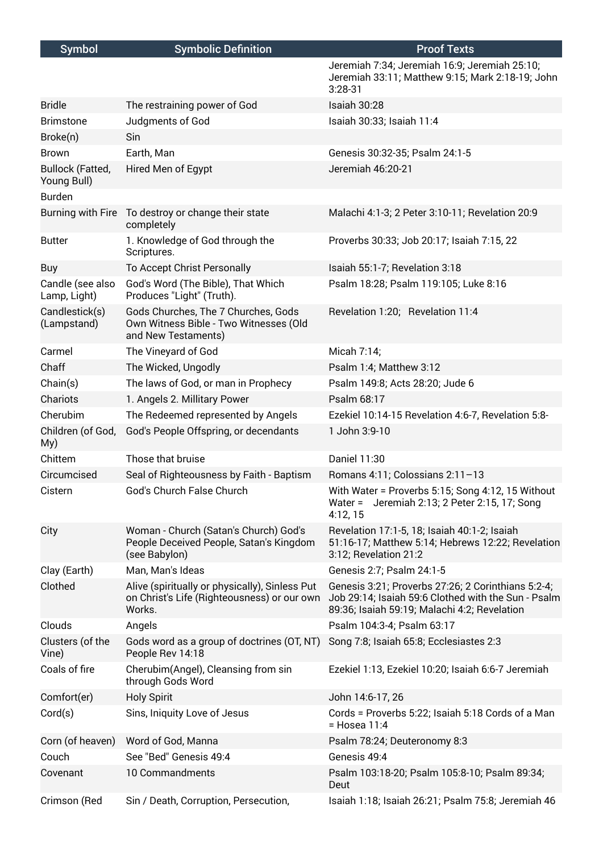| <b>Symbol</b>                          | <b>Symbolic Definition</b>                                                                              | <b>Proof Texts</b>                                                                                                                                        |
|----------------------------------------|---------------------------------------------------------------------------------------------------------|-----------------------------------------------------------------------------------------------------------------------------------------------------------|
|                                        |                                                                                                         | Jeremiah 7:34; Jeremiah 16:9; Jeremiah 25:10;<br>Jeremiah 33:11; Matthew 9:15; Mark 2:18-19; John<br>$3:28-31$                                            |
| <b>Bridle</b>                          | The restraining power of God                                                                            | Isaiah 30:28                                                                                                                                              |
| <b>Brimstone</b>                       | Judgments of God                                                                                        | Isaiah 30:33; Isaiah 11:4                                                                                                                                 |
| Broke(n)                               | Sin                                                                                                     |                                                                                                                                                           |
| <b>Brown</b>                           | Earth, Man                                                                                              | Genesis 30:32-35; Psalm 24:1-5                                                                                                                            |
| <b>Bullock (Fatted,</b><br>Young Bull) | Hired Men of Egypt                                                                                      | Jeremiah 46:20-21                                                                                                                                         |
| <b>Burden</b>                          |                                                                                                         |                                                                                                                                                           |
|                                        | Burning with Fire To destroy or change their state<br>completely                                        | Malachi 4:1-3; 2 Peter 3:10-11; Revelation 20:9                                                                                                           |
| <b>Butter</b>                          | 1. Knowledge of God through the<br>Scriptures.                                                          | Proverbs 30:33; Job 20:17; Isaiah 7:15, 22                                                                                                                |
| Buy                                    | To Accept Christ Personally                                                                             | Isaiah 55:1-7; Revelation 3:18                                                                                                                            |
| Candle (see also<br>Lamp, Light)       | God's Word (The Bible), That Which<br>Produces "Light" (Truth).                                         | Psalm 18:28; Psalm 119:105; Luke 8:16                                                                                                                     |
| Candlestick(s)<br>(Lampstand)          | Gods Churches, The 7 Churches, Gods<br>Own Witness Bible - Two Witnesses (Old<br>and New Testaments)    | Revelation 1:20; Revelation 11:4                                                                                                                          |
| Carmel                                 | The Vineyard of God                                                                                     | Micah 7:14;                                                                                                                                               |
| Chaff                                  | The Wicked, Ungodly                                                                                     | Psalm 1:4; Matthew 3:12                                                                                                                                   |
| Chain(s)                               | The laws of God, or man in Prophecy                                                                     | Psalm 149:8; Acts 28:20; Jude 6                                                                                                                           |
| Chariots                               | 1. Angels 2. Millitary Power                                                                            | Psalm 68:17                                                                                                                                               |
| Cherubim                               | The Redeemed represented by Angels                                                                      | Ezekiel 10:14-15 Revelation 4:6-7, Revelation 5:8-                                                                                                        |
| Children (of God,<br>My)               | God's People Offspring, or decendants                                                                   | 1 John 3:9-10                                                                                                                                             |
| Chittem                                | Those that bruise                                                                                       | Daniel 11:30                                                                                                                                              |
| Circumcised                            | Seal of Righteousness by Faith - Baptism                                                                | Romans 4:11; Colossians 2:11-13                                                                                                                           |
| Cistern                                | God's Church False Church                                                                               | With Water = Proverbs 5:15; Song 4:12, 15 Without<br>Water = Jeremiah 2:13; 2 Peter 2:15, 17; Song<br>4:12, 15                                            |
| City                                   | Woman - Church (Satan's Church) God's<br>People Deceived People, Satan's Kingdom<br>(see Babylon)       | Revelation 17:1-5, 18; Isaiah 40:1-2; Isaiah<br>51:16-17; Matthew 5:14; Hebrews 12:22; Revelation<br>3:12; Revelation 21:2                                |
| Clay (Earth)                           | Man, Man's Ideas                                                                                        | Genesis 2:7; Psalm 24:1-5                                                                                                                                 |
| Clothed                                | Alive (spiritually or physically), Sinless Put<br>on Christ's Life (Righteousness) or our own<br>Works. | Genesis 3:21; Proverbs 27:26; 2 Corinthians 5:2-4;<br>Job 29:14; Isaiah 59:6 Clothed with the Sun - Psalm<br>89:36; Isaiah 59:19; Malachi 4:2; Revelation |
| Clouds                                 | Angels                                                                                                  | Psalm 104:3-4; Psalm 63:17                                                                                                                                |
| Clusters (of the<br>Vine)              | Gods word as a group of doctrines (OT, NT)<br>People Rev 14:18                                          | Song 7:8; Isaiah 65:8; Ecclesiastes 2:3                                                                                                                   |
| Coals of fire                          | Cherubim(Angel), Cleansing from sin<br>through Gods Word                                                | Ezekiel 1:13, Ezekiel 10:20; Isaiah 6:6-7 Jeremiah                                                                                                        |
| Comfort(er)                            | <b>Holy Spirit</b>                                                                                      | John 14:6-17, 26                                                                                                                                          |
| Cord(s)                                | Sins, Iniquity Love of Jesus                                                                            | Cords = Proverbs 5:22; Isaiah 5:18 Cords of a Man<br>$=$ Hosea 11:4                                                                                       |
| Corn (of heaven)                       | Word of God, Manna                                                                                      | Psalm 78:24; Deuteronomy 8:3                                                                                                                              |
| Couch                                  | See "Bed" Genesis 49:4                                                                                  | Genesis 49:4                                                                                                                                              |
| Covenant                               | 10 Commandments                                                                                         | Psalm 103:18-20; Psalm 105:8-10; Psalm 89:34;<br>Deut                                                                                                     |
| Crimson (Red                           | Sin / Death, Corruption, Persecution,                                                                   | Isaiah 1:18; Isaiah 26:21; Psalm 75:8; Jeremiah 46                                                                                                        |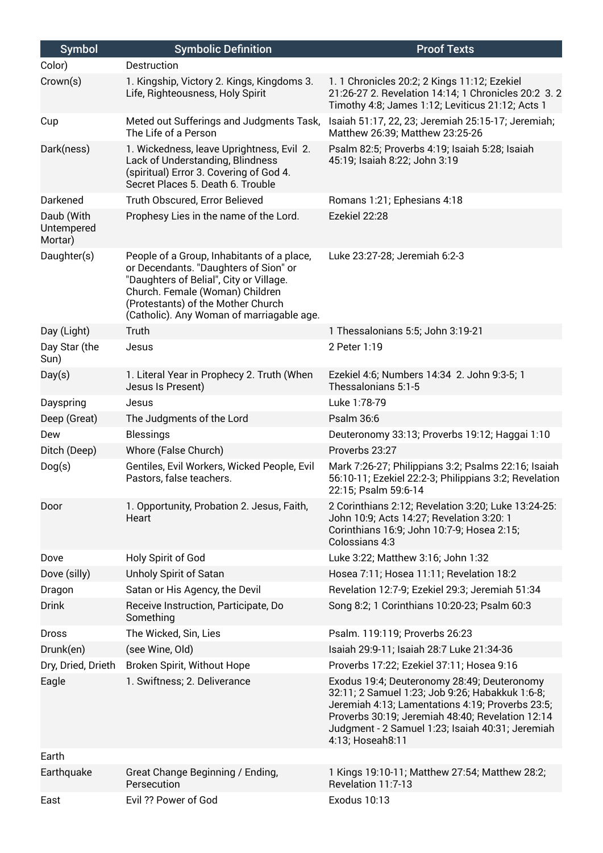| <b>Symbol</b>                       | <b>Symbolic Definition</b>                                                                                                                                                                                                                           | <b>Proof Texts</b>                                                                                                                                                                                                                                                             |
|-------------------------------------|------------------------------------------------------------------------------------------------------------------------------------------------------------------------------------------------------------------------------------------------------|--------------------------------------------------------------------------------------------------------------------------------------------------------------------------------------------------------------------------------------------------------------------------------|
| Color)                              | Destruction                                                                                                                                                                                                                                          |                                                                                                                                                                                                                                                                                |
| Crown(s)                            | 1. Kingship, Victory 2. Kings, Kingdoms 3.<br>Life, Righteousness, Holy Spirit                                                                                                                                                                       | 1. 1 Chronicles 20:2; 2 Kings 11:12; Ezekiel<br>21:26-27 2. Revelation 14:14; 1 Chronicles 20:2 3.2<br>Timothy 4:8; James 1:12; Leviticus 21:12; Acts 1                                                                                                                        |
| Cup                                 | Meted out Sufferings and Judgments Task,<br>The Life of a Person                                                                                                                                                                                     | Isaiah 51:17, 22, 23; Jeremiah 25:15-17; Jeremiah;<br>Matthew 26:39; Matthew 23:25-26                                                                                                                                                                                          |
| Dark(ness)                          | 1. Wickedness, leave Uprightness, Evil 2.<br>Lack of Understanding, Blindness<br>(spiritual) Error 3. Covering of God 4.<br>Secret Places 5. Death 6. Trouble                                                                                        | Psalm 82:5; Proverbs 4:19; Isaiah 5:28; Isaiah<br>45:19; Isaiah 8:22; John 3:19                                                                                                                                                                                                |
| Darkened                            | Truth Obscured, Error Believed                                                                                                                                                                                                                       | Romans 1:21; Ephesians 4:18                                                                                                                                                                                                                                                    |
| Daub (With<br>Untempered<br>Mortar) | Prophesy Lies in the name of the Lord.                                                                                                                                                                                                               | Ezekiel 22:28                                                                                                                                                                                                                                                                  |
| Daughter(s)                         | People of a Group, Inhabitants of a place,<br>or Decendants. "Daughters of Sion" or<br>"Daughters of Belial", City or Village.<br>Church. Female (Woman) Children<br>(Protestants) of the Mother Church<br>(Catholic). Any Woman of marriagable age. | Luke 23:27-28; Jeremiah 6:2-3                                                                                                                                                                                                                                                  |
| Day (Light)                         | Truth                                                                                                                                                                                                                                                | 1 Thessalonians 5:5; John 3:19-21                                                                                                                                                                                                                                              |
| Day Star (the<br>Sun)               | Jesus                                                                                                                                                                                                                                                | 2 Peter 1:19                                                                                                                                                                                                                                                                   |
| Day(s)                              | 1. Literal Year in Prophecy 2. Truth (When<br>Jesus Is Present)                                                                                                                                                                                      | Ezekiel 4:6; Numbers 14:34 2. John 9:3-5; 1<br>Thessalonians 5:1-5                                                                                                                                                                                                             |
| Dayspring                           | Jesus                                                                                                                                                                                                                                                | Luke 1:78-79                                                                                                                                                                                                                                                                   |
| Deep (Great)                        | The Judgments of the Lord                                                                                                                                                                                                                            | Psalm 36:6                                                                                                                                                                                                                                                                     |
| Dew                                 | <b>Blessings</b>                                                                                                                                                                                                                                     | Deuteronomy 33:13; Proverbs 19:12; Haggai 1:10                                                                                                                                                                                                                                 |
| Ditch (Deep)                        | Whore (False Church)                                                                                                                                                                                                                                 | Proverbs 23:27                                                                                                                                                                                                                                                                 |
| Dog(s)                              | Gentiles, Evil Workers, Wicked People, Evil<br>Pastors, false teachers.                                                                                                                                                                              | Mark 7:26-27; Philippians 3:2; Psalms 22:16; Isaiah<br>56:10-11; Ezekiel 22:2-3; Philippians 3:2; Revelation<br>22:15; Psalm 59:6-14                                                                                                                                           |
| Door                                | 1. Opportunity, Probation 2. Jesus, Faith,<br>Heart                                                                                                                                                                                                  | 2 Corinthians 2:12; Revelation 3:20; Luke 13:24-25:<br>John 10:9; Acts 14:27; Revelation 3:20: 1<br>Corinthians 16:9; John 10:7-9; Hosea 2:15;<br>Colossians 4:3                                                                                                               |
| Dove                                | Holy Spirit of God                                                                                                                                                                                                                                   | Luke 3:22; Matthew 3:16; John 1:32                                                                                                                                                                                                                                             |
| Dove (silly)                        | Unholy Spirit of Satan                                                                                                                                                                                                                               | Hosea 7:11; Hosea 11:11; Revelation 18:2                                                                                                                                                                                                                                       |
| Dragon                              | Satan or His Agency, the Devil                                                                                                                                                                                                                       | Revelation 12:7-9; Ezekiel 29:3; Jeremiah 51:34                                                                                                                                                                                                                                |
| <b>Drink</b>                        | Receive Instruction, Participate, Do<br>Something                                                                                                                                                                                                    | Song 8:2; 1 Corinthians 10:20-23; Psalm 60:3                                                                                                                                                                                                                                   |
| <b>Dross</b>                        | The Wicked, Sin, Lies                                                                                                                                                                                                                                | Psalm. 119:119; Proverbs 26:23                                                                                                                                                                                                                                                 |
| Drunk(en)                           | (see Wine, Old)                                                                                                                                                                                                                                      | Isaiah 29:9-11; Isaiah 28:7 Luke 21:34-36                                                                                                                                                                                                                                      |
| Dry, Dried, Drieth                  | Broken Spirit, Without Hope                                                                                                                                                                                                                          | Proverbs 17:22; Ezekiel 37:11; Hosea 9:16                                                                                                                                                                                                                                      |
| Eagle                               | 1. Swiftness; 2. Deliverance                                                                                                                                                                                                                         | Exodus 19:4; Deuteronomy 28:49; Deuteronomy<br>32:11; 2 Samuel 1:23; Job 9:26; Habakkuk 1:6-8;<br>Jeremiah 4:13; Lamentations 4:19; Proverbs 23:5;<br>Proverbs 30:19; Jeremiah 48:40; Revelation 12:14<br>Judgment - 2 Samuel 1:23; Isaiah 40:31; Jeremiah<br>4:13; Hoseah8:11 |
| Earth                               |                                                                                                                                                                                                                                                      |                                                                                                                                                                                                                                                                                |
| Earthquake                          | Great Change Beginning / Ending,<br>Persecution                                                                                                                                                                                                      | 1 Kings 19:10-11; Matthew 27:54; Matthew 28:2;<br>Revelation 11:7-13                                                                                                                                                                                                           |
| East                                | Evil ?? Power of God                                                                                                                                                                                                                                 | Exodus 10:13                                                                                                                                                                                                                                                                   |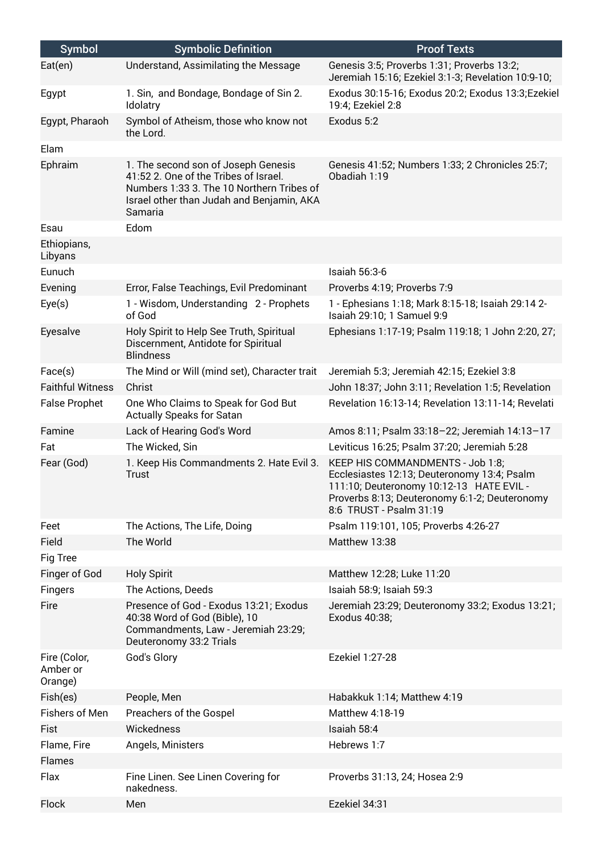| <b>Symbol</b>                       | <b>Symbolic Definition</b>                                                                                                                                                        | <b>Proof Texts</b>                                                                                                                                                                                      |
|-------------------------------------|-----------------------------------------------------------------------------------------------------------------------------------------------------------------------------------|---------------------------------------------------------------------------------------------------------------------------------------------------------------------------------------------------------|
| Eat(en)                             | Understand, Assimilating the Message                                                                                                                                              | Genesis 3:5; Proverbs 1:31; Proverbs 13:2;<br>Jeremiah 15:16; Ezekiel 3:1-3; Revelation 10:9-10;                                                                                                        |
| Egypt                               | 1. Sin, and Bondage, Bondage of Sin 2.<br>Idolatry                                                                                                                                | Exodus 30:15-16; Exodus 20:2; Exodus 13:3; Ezekiel<br>19:4; Ezekiel 2:8                                                                                                                                 |
| Egypt, Pharaoh                      | Symbol of Atheism, those who know not<br>the Lord.                                                                                                                                | Exodus 5:2                                                                                                                                                                                              |
| Elam                                |                                                                                                                                                                                   |                                                                                                                                                                                                         |
| Ephraim                             | 1. The second son of Joseph Genesis<br>41:52 2. One of the Tribes of Israel.<br>Numbers 1:33 3. The 10 Northern Tribes of<br>Israel other than Judah and Benjamin, AKA<br>Samaria | Genesis 41:52; Numbers 1:33; 2 Chronicles 25:7;<br>Obadiah 1:19                                                                                                                                         |
| Esau                                | Edom                                                                                                                                                                              |                                                                                                                                                                                                         |
| Ethiopians,<br>Libyans              |                                                                                                                                                                                   |                                                                                                                                                                                                         |
| Eunuch                              |                                                                                                                                                                                   | Isaiah 56:3-6                                                                                                                                                                                           |
| Evening                             | Error, False Teachings, Evil Predominant                                                                                                                                          | Proverbs 4:19; Proverbs 7:9                                                                                                                                                                             |
| Eye(s)                              | 1 - Wisdom, Understanding 2 - Prophets<br>of God                                                                                                                                  | 1 - Ephesians 1:18; Mark 8:15-18; Isaiah 29:14 2-<br>Isaiah 29:10; 1 Samuel 9:9                                                                                                                         |
| Eyesalve                            | Holy Spirit to Help See Truth, Spiritual<br>Discernment, Antidote for Spiritual<br><b>Blindness</b>                                                                               | Ephesians 1:17-19; Psalm 119:18; 1 John 2:20, 27;                                                                                                                                                       |
| Face(s)                             | The Mind or Will (mind set), Character trait                                                                                                                                      | Jeremiah 5:3; Jeremiah 42:15; Ezekiel 3:8                                                                                                                                                               |
| <b>Faithful Witness</b>             | Christ                                                                                                                                                                            | John 18:37; John 3:11; Revelation 1:5; Revelation                                                                                                                                                       |
| <b>False Prophet</b>                | One Who Claims to Speak for God But<br>Actually Speaks for Satan                                                                                                                  | Revelation 16:13-14; Revelation 13:11-14; Revelati                                                                                                                                                      |
| Famine                              | Lack of Hearing God's Word                                                                                                                                                        | Amos 8:11; Psalm 33:18-22; Jeremiah 14:13-17                                                                                                                                                            |
| Fat                                 | The Wicked, Sin                                                                                                                                                                   | Leviticus 16:25; Psalm 37:20; Jeremiah 5:28                                                                                                                                                             |
| Fear (God)                          | 1. Keep His Commandments 2. Hate Evil 3.<br>Trust                                                                                                                                 | KEEP HIS COMMANDMENTS - Job 1:8;<br>Ecclesiastes 12:13; Deuteronomy 13:4; Psalm<br>111:10; Deuteronomy 10:12-13 HATE EVIL -<br>Proverbs 8:13; Deuteronomy 6:1-2; Deuteronomy<br>8:6 TRUST - Psalm 31:19 |
| Feet                                | The Actions, The Life, Doing                                                                                                                                                      | Psalm 119:101, 105; Proverbs 4:26-27                                                                                                                                                                    |
| Field                               | The World                                                                                                                                                                         | Matthew 13:38                                                                                                                                                                                           |
| Fig Tree                            |                                                                                                                                                                                   |                                                                                                                                                                                                         |
| Finger of God                       | <b>Holy Spirit</b>                                                                                                                                                                | Matthew 12:28; Luke 11:20                                                                                                                                                                               |
| Fingers                             | The Actions, Deeds                                                                                                                                                                | Isaiah 58:9; Isaiah 59:3                                                                                                                                                                                |
| Fire                                | Presence of God - Exodus 13:21; Exodus<br>40:38 Word of God (Bible), 10<br>Commandments, Law - Jeremiah 23:29;<br>Deuteronomy 33:2 Trials                                         | Jeremiah 23:29; Deuteronomy 33:2; Exodus 13:21;<br>Exodus 40:38;                                                                                                                                        |
| Fire (Color,<br>Amber or<br>Orange) | God's Glory                                                                                                                                                                       | Ezekiel 1:27-28                                                                                                                                                                                         |
| Fish(es)                            | People, Men                                                                                                                                                                       | Habakkuk 1:14; Matthew 4:19                                                                                                                                                                             |
| Fishers of Men                      | Preachers of the Gospel                                                                                                                                                           | Matthew 4:18-19                                                                                                                                                                                         |
| Fist                                | Wickedness                                                                                                                                                                        | Isaiah 58:4                                                                                                                                                                                             |
| Flame, Fire<br>Flames               | Angels, Ministers                                                                                                                                                                 | Hebrews 1:7                                                                                                                                                                                             |
| Flax                                | Fine Linen. See Linen Covering for<br>nakedness.                                                                                                                                  | Proverbs 31:13, 24; Hosea 2:9                                                                                                                                                                           |
| Flock                               | Men                                                                                                                                                                               | Ezekiel 34:31                                                                                                                                                                                           |
|                                     |                                                                                                                                                                                   |                                                                                                                                                                                                         |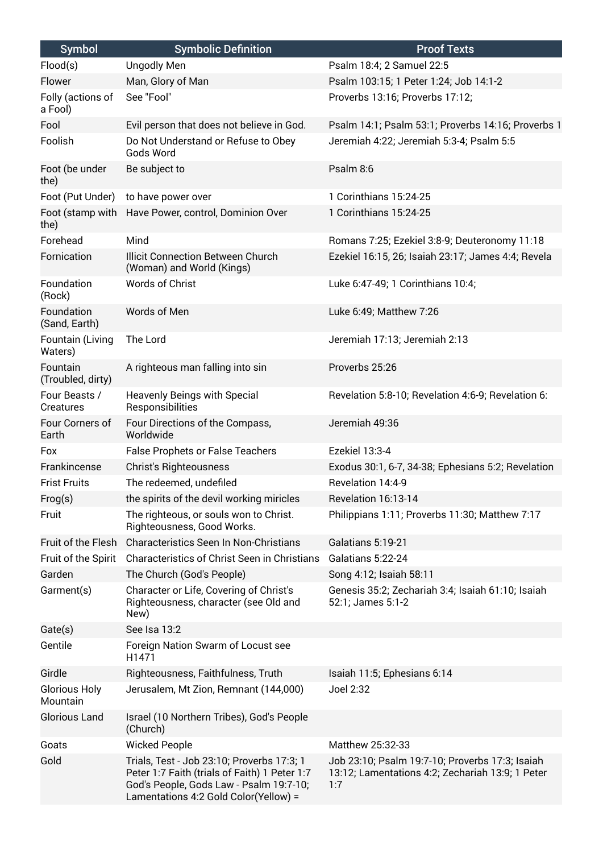| <b>Symbol</b>                    | <b>Symbolic Definition</b>                                                                                                                                                      | <b>Proof Texts</b>                                                                                         |
|----------------------------------|---------------------------------------------------------------------------------------------------------------------------------------------------------------------------------|------------------------------------------------------------------------------------------------------------|
| Flood(s)                         | <b>Ungodly Men</b>                                                                                                                                                              | Psalm 18:4; 2 Samuel 22:5                                                                                  |
| Flower                           | Man, Glory of Man                                                                                                                                                               | Psalm 103:15; 1 Peter 1:24; Job 14:1-2                                                                     |
| Folly (actions of<br>a Fool)     | See "Fool"                                                                                                                                                                      | Proverbs 13:16; Proverbs 17:12;                                                                            |
| Fool                             | Evil person that does not believe in God.                                                                                                                                       | Psalm 14:1; Psalm 53:1; Proverbs 14:16; Proverbs 1                                                         |
| Foolish                          | Do Not Understand or Refuse to Obey<br>Gods Word                                                                                                                                | Jeremiah 4:22; Jeremiah 5:3-4; Psalm 5:5                                                                   |
| Foot (be under<br>the)           | Be subject to                                                                                                                                                                   | Psalm 8:6                                                                                                  |
| Foot (Put Under)                 | to have power over                                                                                                                                                              | 1 Corinthians 15:24-25                                                                                     |
| Foot (stamp with<br>the)         | Have Power, control, Dominion Over                                                                                                                                              | 1 Corinthians 15:24-25                                                                                     |
| Forehead                         | Mind                                                                                                                                                                            | Romans 7:25; Ezekiel 3:8-9; Deuteronomy 11:18                                                              |
| Fornication                      | <b>Illicit Connection Between Church</b><br>(Woman) and World (Kings)                                                                                                           | Ezekiel 16:15, 26; Isaiah 23:17; James 4:4; Revela                                                         |
| Foundation<br>(Rock)             | Words of Christ                                                                                                                                                                 | Luke 6:47-49; 1 Corinthians 10:4;                                                                          |
| Foundation<br>(Sand, Earth)      | Words of Men                                                                                                                                                                    | Luke 6:49; Matthew 7:26                                                                                    |
| Fountain (Living<br>Waters)      | The Lord                                                                                                                                                                        | Jeremiah 17:13; Jeremiah 2:13                                                                              |
| Fountain<br>(Troubled, dirty)    | A righteous man falling into sin                                                                                                                                                | Proverbs 25:26                                                                                             |
| Four Beasts /<br>Creatures       | Heavenly Beings with Special<br>Responsibilities                                                                                                                                | Revelation 5:8-10; Revelation 4:6-9; Revelation 6:                                                         |
| Four Corners of<br>Earth         | Four Directions of the Compass,<br>Worldwide                                                                                                                                    | Jeremiah 49:36                                                                                             |
| Fox                              | False Prophets or False Teachers                                                                                                                                                | Ezekiel 13:3-4                                                                                             |
| Frankincense                     | <b>Christ's Righteousness</b>                                                                                                                                                   | Exodus 30:1, 6-7, 34-38; Ephesians 5:2; Revelation                                                         |
| <b>Frist Fruits</b>              | The redeemed, undefiled                                                                                                                                                         | Revelation 14:4-9                                                                                          |
| Frog(s)                          | the spirits of the devil working miricles                                                                                                                                       | Revelation 16:13-14                                                                                        |
| Fruit                            | The righteous, or souls won to Christ.<br>Righteousness, Good Works.                                                                                                            | Philippians 1:11; Proverbs 11:30; Matthew 7:17                                                             |
| Fruit of the Flesh               | Characteristics Seen In Non-Christians                                                                                                                                          | Galatians 5:19-21                                                                                          |
| Fruit of the Spirit              | Characteristics of Christ Seen in Christians                                                                                                                                    | Galatians 5:22-24                                                                                          |
| Garden                           | The Church (God's People)                                                                                                                                                       | Song 4:12; Isaiah 58:11                                                                                    |
| Garment(s)                       | Character or Life, Covering of Christ's<br>Righteousness, character (see Old and<br>New)                                                                                        | Genesis 35:2; Zechariah 3:4; Isaiah 61:10; Isaiah<br>52:1; James 5:1-2                                     |
| Gate(s)                          | See Isa 13:2                                                                                                                                                                    |                                                                                                            |
| Gentile                          | Foreign Nation Swarm of Locust see<br>H1471                                                                                                                                     |                                                                                                            |
| Girdle                           | Righteousness, Faithfulness, Truth                                                                                                                                              | Isaiah 11:5; Ephesians 6:14                                                                                |
| <b>Glorious Holy</b><br>Mountain | Jerusalem, Mt Zion, Remnant (144,000)                                                                                                                                           | Joel 2:32                                                                                                  |
| <b>Glorious Land</b>             | Israel (10 Northern Tribes), God's People<br>(Church)                                                                                                                           |                                                                                                            |
| Goats                            | <b>Wicked People</b>                                                                                                                                                            | Matthew 25:32-33                                                                                           |
| Gold                             | Trials, Test - Job 23:10; Proverbs 17:3; 1<br>Peter 1:7 Faith (trials of Faith) 1 Peter 1:7<br>God's People, Gods Law - Psalm 19:7-10;<br>Lamentations 4:2 Gold Color(Yellow) = | Job 23:10; Psalm 19:7-10; Proverbs 17:3; Isaiah<br>13:12; Lamentations 4:2; Zechariah 13:9; 1 Peter<br>1:7 |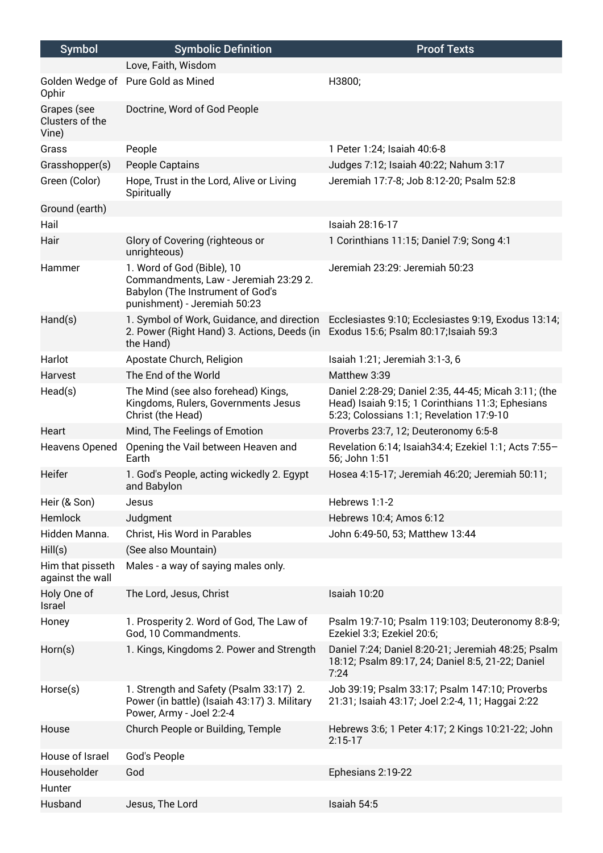| <b>Symbol</b>                           | <b>Symbolic Definition</b>                                                                                                              | <b>Proof Texts</b>                                                                                                                                   |
|-----------------------------------------|-----------------------------------------------------------------------------------------------------------------------------------------|------------------------------------------------------------------------------------------------------------------------------------------------------|
|                                         | Love, Faith, Wisdom                                                                                                                     |                                                                                                                                                      |
| Ophir                                   | Golden Wedge of Pure Gold as Mined                                                                                                      | H3800;                                                                                                                                               |
| Grapes (see<br>Clusters of the<br>Vine) | Doctrine, Word of God People                                                                                                            |                                                                                                                                                      |
| Grass                                   | People                                                                                                                                  | 1 Peter 1:24; Isaiah 40:6-8                                                                                                                          |
| Grasshopper(s)                          | People Captains                                                                                                                         | Judges 7:12; Isaiah 40:22; Nahum 3:17                                                                                                                |
| Green (Color)                           | Hope, Trust in the Lord, Alive or Living<br>Spiritually                                                                                 | Jeremiah 17:7-8; Job 8:12-20; Psalm 52:8                                                                                                             |
| Ground (earth)                          |                                                                                                                                         |                                                                                                                                                      |
| Hail                                    |                                                                                                                                         | Isaiah 28:16-17                                                                                                                                      |
| Hair                                    | Glory of Covering (righteous or<br>unrighteous)                                                                                         | 1 Corinthians 11:15; Daniel 7:9; Song 4:1                                                                                                            |
| Hammer                                  | 1. Word of God (Bible), 10<br>Commandments, Law - Jeremiah 23:29 2.<br>Babylon (The Instrument of God's<br>punishment) - Jeremiah 50:23 | Jeremiah 23:29: Jeremiah 50:23                                                                                                                       |
| Hand(s)                                 | 1. Symbol of Work, Guidance, and direction<br>2. Power (Right Hand) 3. Actions, Deeds (in<br>the Hand)                                  | Ecclesiastes 9:10; Ecclesiastes 9:19, Exodus 13:14;<br>Exodus 15:6; Psalm 80:17; Isaiah 59:3                                                         |
| Harlot                                  | Apostate Church, Religion                                                                                                               | Isaiah 1:21; Jeremiah 3:1-3, 6                                                                                                                       |
| Harvest                                 | The End of the World                                                                                                                    | Matthew 3:39                                                                                                                                         |
| Head(s)                                 | The Mind (see also forehead) Kings,<br>Kingdoms, Rulers, Governments Jesus<br>Christ (the Head)                                         | Daniel 2:28-29; Daniel 2:35, 44-45; Micah 3:11; (the<br>Head) Isaiah 9:15; 1 Corinthians 11:3; Ephesians<br>5:23; Colossians 1:1; Revelation 17:9-10 |
| Heart                                   | Mind, The Feelings of Emotion                                                                                                           | Proverbs 23:7, 12; Deuteronomy 6:5-8                                                                                                                 |
| Heavens Opened                          | Opening the Vail between Heaven and<br>Earth                                                                                            | Revelation 6:14; Isaiah34:4; Ezekiel 1:1; Acts 7:55-<br>56; John 1:51                                                                                |
| Heifer                                  | 1. God's People, acting wickedly 2. Egypt<br>and Babylon                                                                                | Hosea 4:15-17; Jeremiah 46:20; Jeremiah 50:11;                                                                                                       |
| Heir (& Son)                            | Jesus                                                                                                                                   | Hebrews 1:1-2                                                                                                                                        |
| Hemlock                                 | Judgment                                                                                                                                | Hebrews 10:4; Amos 6:12                                                                                                                              |
| Hidden Manna.                           | Christ, His Word in Parables                                                                                                            | John 6:49-50, 53; Matthew 13:44                                                                                                                      |
| Hill(s)                                 | (See also Mountain)                                                                                                                     |                                                                                                                                                      |
| Him that pisseth<br>against the wall    | Males - a way of saying males only.                                                                                                     |                                                                                                                                                      |
| Holy One of<br>Israel                   | The Lord, Jesus, Christ                                                                                                                 | Isaiah 10:20                                                                                                                                         |
| Honey                                   | 1. Prosperity 2. Word of God, The Law of<br>God, 10 Commandments.                                                                       | Psalm 19:7-10; Psalm 119:103; Deuteronomy 8:8-9;<br>Ezekiel 3:3; Ezekiel 20:6;                                                                       |
| Horn(s)                                 | 1. Kings, Kingdoms 2. Power and Strength                                                                                                | Daniel 7:24; Daniel 8:20-21; Jeremiah 48:25; Psalm<br>18:12; Psalm 89:17, 24; Daniel 8:5, 21-22; Daniel<br>7:24                                      |
| Horse(s)                                | 1. Strength and Safety (Psalm 33:17) 2.<br>Power (in battle) (Isaiah 43:17) 3. Military<br>Power, Army - Joel 2:2-4                     | Job 39:19; Psalm 33:17; Psalm 147:10; Proverbs<br>21:31; Isaiah 43:17; Joel 2:2-4, 11; Haggai 2:22                                                   |
| House                                   | Church People or Building, Temple                                                                                                       | Hebrews 3:6; 1 Peter 4:17; 2 Kings 10:21-22; John<br>$2:15-17$                                                                                       |
| House of Israel                         | God's People                                                                                                                            |                                                                                                                                                      |
| Householder                             | God                                                                                                                                     | Ephesians 2:19-22                                                                                                                                    |
| Hunter                                  |                                                                                                                                         |                                                                                                                                                      |
| Husband                                 | Jesus, The Lord                                                                                                                         | Isaiah 54:5                                                                                                                                          |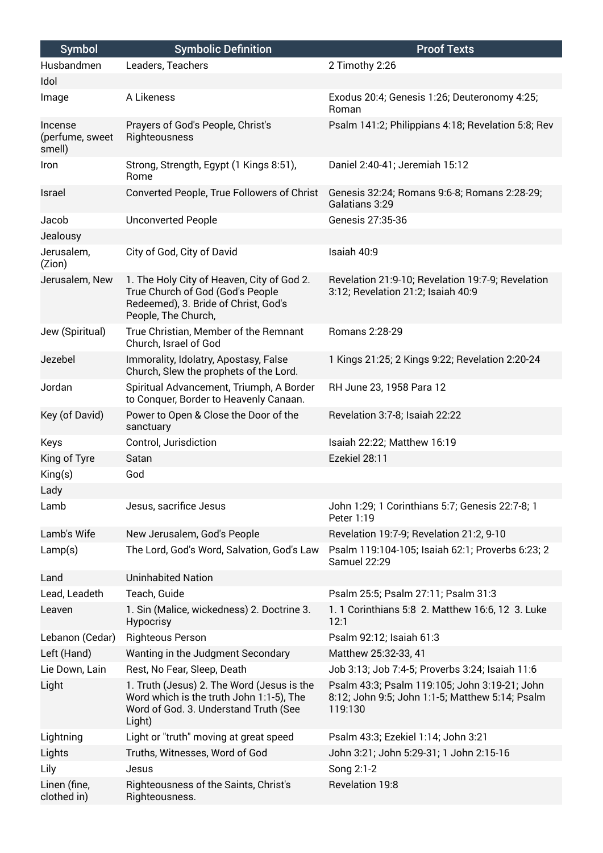| <b>Symbol</b>                        | <b>Symbolic Definition</b>                                                                                                                    | <b>Proof Texts</b>                                                                                          |
|--------------------------------------|-----------------------------------------------------------------------------------------------------------------------------------------------|-------------------------------------------------------------------------------------------------------------|
| Husbandmen                           | Leaders, Teachers                                                                                                                             | 2 Timothy 2:26                                                                                              |
| Idol                                 |                                                                                                                                               |                                                                                                             |
| Image                                | A Likeness                                                                                                                                    | Exodus 20:4; Genesis 1:26; Deuteronomy 4:25;<br>Roman                                                       |
| Incense<br>(perfume, sweet<br>smell) | Prayers of God's People, Christ's<br>Righteousness                                                                                            | Psalm 141:2; Philippians 4:18; Revelation 5:8; Rev                                                          |
| Iron                                 | Strong, Strength, Egypt (1 Kings 8:51),<br>Rome                                                                                               | Daniel 2:40-41; Jeremiah 15:12                                                                              |
| Israel                               | Converted People, True Followers of Christ                                                                                                    | Genesis 32:24; Romans 9:6-8; Romans 2:28-29;<br>Galatians 3:29                                              |
| Jacob                                | <b>Unconverted People</b>                                                                                                                     | Genesis 27:35-36                                                                                            |
| Jealousy                             |                                                                                                                                               |                                                                                                             |
| Jerusalem,<br>(Zion)                 | City of God, City of David                                                                                                                    | Isaiah 40:9                                                                                                 |
| Jerusalem, New                       | 1. The Holy City of Heaven, City of God 2.<br>True Church of God (God's People<br>Redeemed), 3. Bride of Christ, God's<br>People, The Church, | Revelation 21:9-10; Revelation 19:7-9; Revelation<br>3:12; Revelation 21:2; Isaiah 40:9                     |
| Jew (Spiritual)                      | True Christian, Member of the Remnant<br>Church, Israel of God                                                                                | Romans 2:28-29                                                                                              |
| Jezebel                              | Immorality, Idolatry, Apostasy, False<br>Church, Slew the prophets of the Lord.                                                               | 1 Kings 21:25; 2 Kings 9:22; Revelation 2:20-24                                                             |
| Jordan                               | Spiritual Advancement, Triumph, A Border<br>to Conquer, Border to Heavenly Canaan.                                                            | RH June 23, 1958 Para 12                                                                                    |
| Key (of David)                       | Power to Open & Close the Door of the<br>sanctuary                                                                                            | Revelation 3:7-8; Isaiah 22:22                                                                              |
| Keys                                 | Control, Jurisdiction                                                                                                                         | Isaiah 22:22; Matthew 16:19                                                                                 |
| King of Tyre                         | Satan                                                                                                                                         | Ezekiel 28:11                                                                                               |
| King(s)                              | God                                                                                                                                           |                                                                                                             |
| Lady                                 |                                                                                                                                               |                                                                                                             |
| Lamb                                 | Jesus, sacrifice Jesus                                                                                                                        | John 1:29; 1 Corinthians 5:7; Genesis 22:7-8; 1<br>Peter 1:19                                               |
| Lamb's Wife                          | New Jerusalem, God's People                                                                                                                   | Revelation 19:7-9; Revelation 21:2, 9-10                                                                    |
| Lamp(s)                              | The Lord, God's Word, Salvation, God's Law                                                                                                    | Psalm 119:104-105; Isaiah 62:1; Proverbs 6:23; 2<br><b>Samuel 22:29</b>                                     |
| Land                                 | <b>Uninhabited Nation</b>                                                                                                                     |                                                                                                             |
| Lead, Leadeth                        | Teach, Guide                                                                                                                                  | Psalm 25:5; Psalm 27:11; Psalm 31:3                                                                         |
| Leaven                               | 1. Sin (Malice, wickedness) 2. Doctrine 3.<br>Hypocrisy                                                                                       | 1. 1 Corinthians 5:8 2. Matthew 16:6, 12 3. Luke<br>12:1                                                    |
| Lebanon (Cedar)                      | <b>Righteous Person</b>                                                                                                                       | Psalm 92:12; Isaiah 61:3                                                                                    |
| Left (Hand)                          | Wanting in the Judgment Secondary                                                                                                             | Matthew 25:32-33, 41                                                                                        |
| Lie Down, Lain                       | Rest, No Fear, Sleep, Death                                                                                                                   | Job 3:13; Job 7:4-5; Proverbs 3:24; Isaiah 11:6                                                             |
| Light                                | 1. Truth (Jesus) 2. The Word (Jesus is the<br>Word which is the truth John 1:1-5), The<br>Word of God. 3. Understand Truth (See<br>Light)     | Psalm 43:3; Psalm 119:105; John 3:19-21; John<br>8:12; John 9:5; John 1:1-5; Matthew 5:14; Psalm<br>119:130 |
| Lightning                            | Light or "truth" moving at great speed                                                                                                        | Psalm 43:3; Ezekiel 1:14; John 3:21                                                                         |
| Lights                               | Truths, Witnesses, Word of God                                                                                                                | John 3:21; John 5:29-31; 1 John 2:15-16                                                                     |
| Lily                                 | Jesus                                                                                                                                         | Song 2:1-2                                                                                                  |
| Linen (fine,<br>clothed in)          | Righteousness of the Saints, Christ's<br>Righteousness.                                                                                       | Revelation 19:8                                                                                             |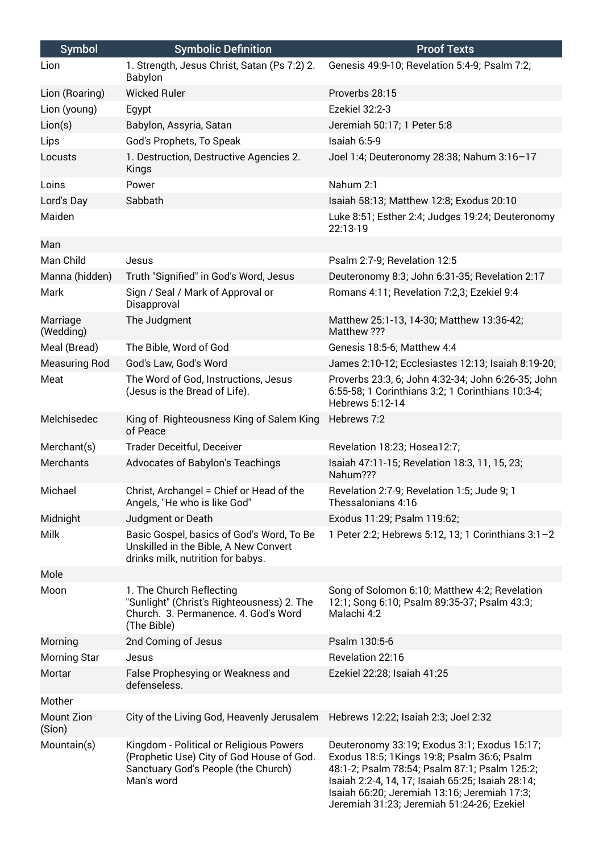| Symbol                      | <b>Symbolic Definition</b>                                                                                                                | <b>Proof Texts</b>                                                                                                                                                                                                                                                                              |
|-----------------------------|-------------------------------------------------------------------------------------------------------------------------------------------|-------------------------------------------------------------------------------------------------------------------------------------------------------------------------------------------------------------------------------------------------------------------------------------------------|
| Lion                        | 1. Strength, Jesus Christ, Satan (Ps 7:2) 2.<br><b>Babylon</b>                                                                            | Genesis 49:9-10; Revelation 5:4-9; Psalm 7:2;                                                                                                                                                                                                                                                   |
| Lion (Roaring)              | <b>Wicked Ruler</b>                                                                                                                       | Proverbs 28:15                                                                                                                                                                                                                                                                                  |
| Lion (young)                | Egypt                                                                                                                                     | Ezekiel 32:2-3                                                                                                                                                                                                                                                                                  |
| Lion(s)                     | Babylon, Assyria, Satan                                                                                                                   | Jeremiah 50:17; 1 Peter 5:8                                                                                                                                                                                                                                                                     |
| Lips                        | God's Prophets, To Speak                                                                                                                  | Isaiah 6:5-9                                                                                                                                                                                                                                                                                    |
| Locusts                     | 1. Destruction, Destructive Agencies 2.<br>Kings                                                                                          | Joel 1:4; Deuteronomy 28:38; Nahum 3:16-17                                                                                                                                                                                                                                                      |
| Loins                       | Power                                                                                                                                     | Nahum 2:1                                                                                                                                                                                                                                                                                       |
| Lord's Day                  | Sabbath                                                                                                                                   | Isaiah 58:13; Matthew 12:8; Exodus 20:10                                                                                                                                                                                                                                                        |
| Maiden                      |                                                                                                                                           | Luke 8:51; Esther 2:4; Judges 19:24; Deuteronomy<br>22:13-19                                                                                                                                                                                                                                    |
| Man                         |                                                                                                                                           |                                                                                                                                                                                                                                                                                                 |
| Man Child                   | Jesus                                                                                                                                     | Psalm 2:7-9; Revelation 12:5                                                                                                                                                                                                                                                                    |
| Manna (hidden)              | Truth "Signified" in God's Word, Jesus                                                                                                    | Deuteronomy 8:3; John 6:31-35; Revelation 2:17                                                                                                                                                                                                                                                  |
| Mark                        | Sign / Seal / Mark of Approval or<br>Disapproval                                                                                          | Romans 4:11; Revelation 7:2,3; Ezekiel 9:4                                                                                                                                                                                                                                                      |
| Marriage<br>(Wedding)       | The Judgment                                                                                                                              | Matthew 25:1-13, 14-30; Matthew 13:36-42;<br>Matthew ???                                                                                                                                                                                                                                        |
| Meal (Bread)                | The Bible, Word of God                                                                                                                    | Genesis 18:5-6; Matthew 4:4                                                                                                                                                                                                                                                                     |
| <b>Measuring Rod</b>        | God's Law, God's Word                                                                                                                     | James 2:10-12; Ecclesiastes 12:13; Isaiah 8:19-20;                                                                                                                                                                                                                                              |
| Meat                        | The Word of God, Instructions, Jesus<br>(Jesus is the Bread of Life).                                                                     | Proverbs 23:3, 6; John 4:32-34; John 6:26-35; John<br>6:55-58; 1 Corinthians 3:2; 1 Corinthians 10:3-4;<br>Hebrews 5:12-14                                                                                                                                                                      |
| Melchisedec                 | King of Righteousness King of Salem King<br>of Peace                                                                                      | Hebrews 7:2                                                                                                                                                                                                                                                                                     |
| Merchant(s)                 | Trader Deceitful, Deceiver                                                                                                                | Revelation 18:23; Hosea12:7;                                                                                                                                                                                                                                                                    |
| Merchants                   | Advocates of Babylon's Teachings                                                                                                          | Isaiah 47:11-15; Revelation 18:3, 11, 15, 23;<br>Nahum???                                                                                                                                                                                                                                       |
| Michael                     | Christ, Archangel = Chief or Head of the<br>Angels, "He who is like God"                                                                  | Revelation 2:7-9; Revelation 1:5; Jude 9; 1<br>Thessalonians 4:16                                                                                                                                                                                                                               |
| Midnight                    | Judgment or Death                                                                                                                         | Exodus 11:29; Psalm 119:62;                                                                                                                                                                                                                                                                     |
| <b>Milk</b>                 | Basic Gospel, basics of God's Word, To Be<br>Unskilled in the Bible, A New Convert<br>drinks milk, nutrition for babys.                   | 1 Peter 2:2; Hebrews 5:12, 13; 1 Corinthians 3:1-2                                                                                                                                                                                                                                              |
| Mole                        |                                                                                                                                           |                                                                                                                                                                                                                                                                                                 |
| Moon                        | 1. The Church Reflecting<br>"Sunlight" (Christ's Righteousness) 2. The<br>Church. 3. Permanence. 4. God's Word<br>(The Bible)             | Song of Solomon 6:10; Matthew 4:2; Revelation<br>12:1; Song 6:10; Psalm 89:35-37; Psalm 43:3;<br>Malachi 4:2                                                                                                                                                                                    |
| Morning                     | 2nd Coming of Jesus                                                                                                                       | Psalm 130:5-6                                                                                                                                                                                                                                                                                   |
| Morning Star                | Jesus                                                                                                                                     | Revelation 22:16                                                                                                                                                                                                                                                                                |
| Mortar                      | False Prophesying or Weakness and<br>defenseless.                                                                                         | Ezekiel 22:28; Isaiah 41:25                                                                                                                                                                                                                                                                     |
| Mother                      |                                                                                                                                           |                                                                                                                                                                                                                                                                                                 |
| <b>Mount Zion</b><br>(Sion) | City of the Living God, Heavenly Jerusalem                                                                                                | Hebrews 12:22; Isaiah 2:3; Joel 2:32                                                                                                                                                                                                                                                            |
| Mountain(s)                 | Kingdom - Political or Religious Powers<br>(Prophetic Use) City of God House of God.<br>Sanctuary God's People (the Church)<br>Man's word | Deuteronomy 33:19; Exodus 3:1; Exodus 15:17;<br>Exodus 18:5; 1Kings 19:8; Psalm 36:6; Psalm<br>48:1-2; Psalm 78:54; Psalm 87:1; Psalm 125:2;<br>Isaiah 2:2-4, 14, 17; Isaiah 65:25; Isaiah 28:14;<br>Isaiah 66:20; Jeremiah 13:16; Jeremiah 17:3;<br>Jeremiah 31:23; Jeremiah 51:24-26; Ezekiel |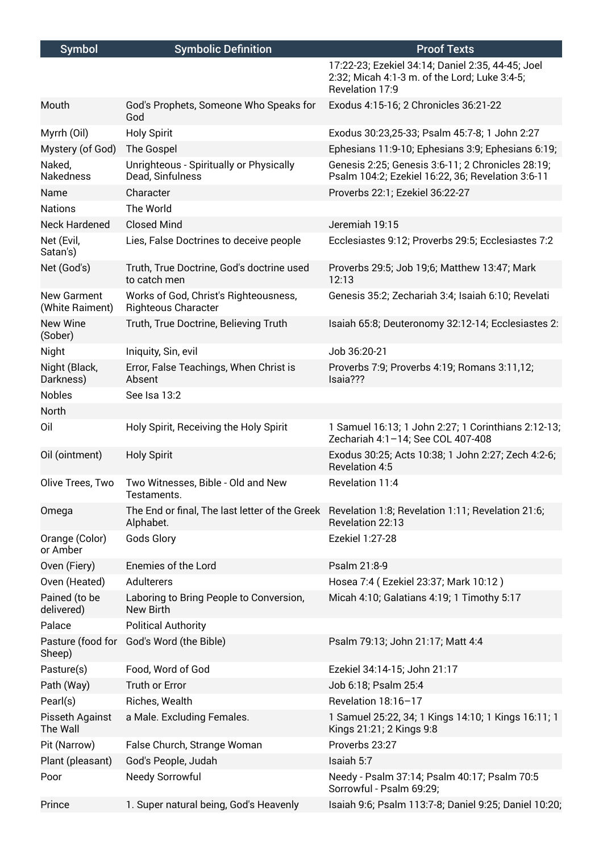| <b>Symbol</b>                         | <b>Symbolic Definition</b>                                          | <b>Proof Texts</b>                                                                                                    |
|---------------------------------------|---------------------------------------------------------------------|-----------------------------------------------------------------------------------------------------------------------|
|                                       |                                                                     | 17:22-23; Ezekiel 34:14; Daniel 2:35, 44-45; Joel<br>2:32; Micah 4:1-3 m. of the Lord; Luke 3:4-5;<br>Revelation 17:9 |
| Mouth                                 | God's Prophets, Someone Who Speaks for<br>God                       | Exodus 4:15-16; 2 Chronicles 36:21-22                                                                                 |
| Myrrh (Oil)                           | <b>Holy Spirit</b>                                                  | Exodus 30:23,25-33; Psalm 45:7-8; 1 John 2:27                                                                         |
| Mystery (of God)                      | The Gospel                                                          | Ephesians 11:9-10; Ephesians 3:9; Ephesians 6:19;                                                                     |
| Naked,<br><b>Nakedness</b>            | Unrighteous - Spiritually or Physically<br>Dead, Sinfulness         | Genesis 2:25; Genesis 3:6-11; 2 Chronicles 28:19;<br>Psalm 104:2; Ezekiel 16:22, 36; Revelation 3:6-11                |
| Name                                  | Character                                                           | Proverbs 22:1; Ezekiel 36:22-27                                                                                       |
| <b>Nations</b>                        | The World                                                           |                                                                                                                       |
| <b>Neck Hardened</b>                  | <b>Closed Mind</b>                                                  | Jeremiah 19:15                                                                                                        |
| Net (Evil,<br>Satan's)                | Lies, False Doctrines to deceive people                             | Ecclesiastes 9:12; Proverbs 29:5; Ecclesiastes 7:2                                                                    |
| Net (God's)                           | Truth, True Doctrine, God's doctrine used<br>to catch men           | Proverbs 29:5; Job 19;6; Matthew 13:47; Mark<br>12:13                                                                 |
| <b>New Garment</b><br>(White Raiment) | Works of God, Christ's Righteousness,<br><b>Righteous Character</b> | Genesis 35:2; Zechariah 3:4; Isaiah 6:10; Revelati                                                                    |
| <b>New Wine</b><br>(Sober)            | Truth, True Doctrine, Believing Truth                               | Isaiah 65:8; Deuteronomy 32:12-14; Ecclesiastes 2:                                                                    |
| Night                                 | Iniquity, Sin, evil                                                 | Job 36:20-21                                                                                                          |
| Night (Black,<br>Darkness)            | Error, False Teachings, When Christ is<br>Absent                    | Proverbs 7:9; Proverbs 4:19; Romans 3:11,12;<br>Isaia???                                                              |
| <b>Nobles</b>                         | See Isa 13:2                                                        |                                                                                                                       |
| North                                 |                                                                     |                                                                                                                       |
| Oil                                   | Holy Spirit, Receiving the Holy Spirit                              | 1 Samuel 16:13; 1 John 2:27; 1 Corinthians 2:12-13;<br>Zechariah 4:1-14; See COL 407-408                              |
| Oil (ointment)                        | <b>Holy Spirit</b>                                                  | Exodus 30:25; Acts 10:38; 1 John 2:27; Zech 4:2-6;<br>Revelation 4:5                                                  |
| Olive Trees, Two                      | Two Witnesses, Bible - Old and New<br>Testaments.                   | Revelation 11:4                                                                                                       |
| Omega                                 | Alphabet.                                                           | The End or final, The last letter of the Greek Revelation 1:8; Revelation 1:11; Revelation 21:6;<br>Revelation 22:13  |
| Orange (Color)<br>or Amber            | Gods Glory                                                          | Ezekiel 1:27-28                                                                                                       |
| Oven (Fiery)                          | Enemies of the Lord                                                 | Psalm 21:8-9                                                                                                          |
| Oven (Heated)                         | Adulterers                                                          | Hosea 7:4 (Ezekiel 23:37; Mark 10:12)                                                                                 |
| Pained (to be<br>delivered)           | Laboring to Bring People to Conversion,<br><b>New Birth</b>         | Micah 4:10; Galatians 4:19; 1 Timothy 5:17                                                                            |
| Palace                                | <b>Political Authority</b>                                          |                                                                                                                       |
| Pasture (food for<br>Sheep)           | God's Word (the Bible)                                              | Psalm 79:13; John 21:17; Matt 4:4                                                                                     |
| Pasture(s)                            | Food, Word of God                                                   | Ezekiel 34:14-15; John 21:17                                                                                          |
| Path (Way)                            | Truth or Error                                                      | Job 6:18; Psalm 25:4                                                                                                  |
| Pearl(s)                              | Riches, Wealth                                                      | Revelation 18:16-17                                                                                                   |
| Pisseth Against<br>The Wall           | a Male. Excluding Females.                                          | 1 Samuel 25:22, 34; 1 Kings 14:10; 1 Kings 16:11; 1<br>Kings 21:21; 2 Kings 9:8                                       |
| Pit (Narrow)                          | False Church, Strange Woman                                         | Proverbs 23:27                                                                                                        |
| Plant (pleasant)                      | God's People, Judah                                                 | Isaiah 5:7                                                                                                            |
| Poor                                  | Needy Sorrowful                                                     | Needy - Psalm 37:14; Psalm 40:17; Psalm 70:5<br>Sorrowful - Psalm 69:29;                                              |
| Prince                                | 1. Super natural being, God's Heavenly                              | Isaiah 9:6; Psalm 113:7-8; Daniel 9:25; Daniel 10:20;                                                                 |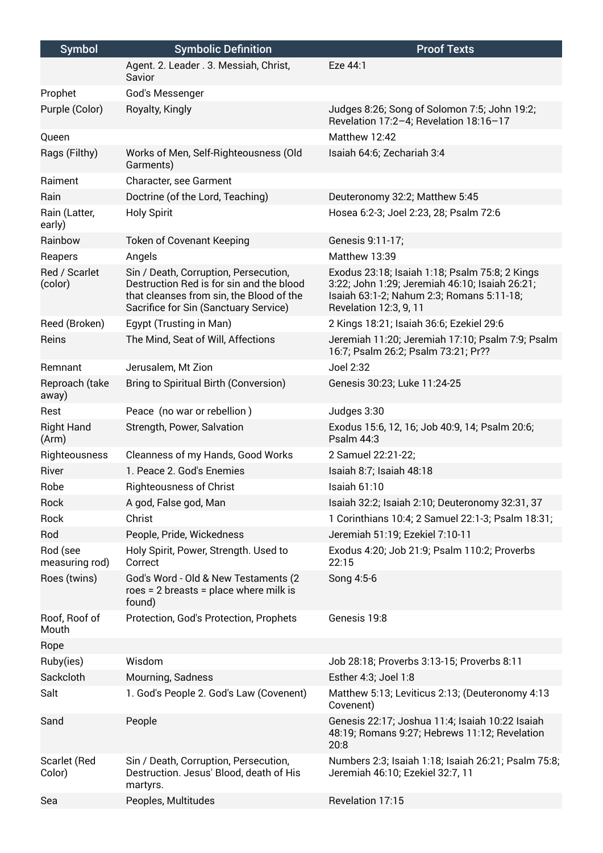| <b>Symbol</b>              | <b>Symbolic Definition</b>                                                                                                                                             | <b>Proof Texts</b>                                                                                                                                                      |
|----------------------------|------------------------------------------------------------------------------------------------------------------------------------------------------------------------|-------------------------------------------------------------------------------------------------------------------------------------------------------------------------|
|                            | Agent. 2. Leader . 3. Messiah, Christ,<br>Savior                                                                                                                       | Eze 44:1                                                                                                                                                                |
| Prophet                    | God's Messenger                                                                                                                                                        |                                                                                                                                                                         |
| Purple (Color)             | Royalty, Kingly                                                                                                                                                        | Judges 8:26; Song of Solomon 7:5; John 19:2;<br>Revelation 17:2-4; Revelation 18:16-17                                                                                  |
| Queen                      |                                                                                                                                                                        | Matthew 12:42                                                                                                                                                           |
| Rags (Filthy)              | Works of Men, Self-Righteousness (Old<br>Garments)                                                                                                                     | Isaiah 64:6; Zechariah 3:4                                                                                                                                              |
| Raiment                    | Character, see Garment                                                                                                                                                 |                                                                                                                                                                         |
| Rain                       | Doctrine (of the Lord, Teaching)                                                                                                                                       | Deuteronomy 32:2; Matthew 5:45                                                                                                                                          |
| Rain (Latter,<br>early)    | <b>Holy Spirit</b>                                                                                                                                                     | Hosea 6:2-3; Joel 2:23, 28; Psalm 72:6                                                                                                                                  |
| Rainbow                    | <b>Token of Covenant Keeping</b>                                                                                                                                       | Genesis 9:11-17;                                                                                                                                                        |
| Reapers                    | Angels                                                                                                                                                                 | Matthew 13:39                                                                                                                                                           |
| Red / Scarlet<br>(color)   | Sin / Death, Corruption, Persecution,<br>Destruction Red is for sin and the blood<br>that cleanses from sin, the Blood of the<br>Sacrifice for Sin (Sanctuary Service) | Exodus 23:18; Isaiah 1:18; Psalm 75:8; 2 Kings<br>3:22; John 1:29; Jeremiah 46:10; Isaiah 26:21;<br>Isaiah 63:1-2; Nahum 2:3; Romans 5:11-18;<br>Revelation 12:3, 9, 11 |
| Reed (Broken)              | Egypt (Trusting in Man)                                                                                                                                                | 2 Kings 18:21; Isaiah 36:6; Ezekiel 29:6                                                                                                                                |
| Reins                      | The Mind, Seat of Will, Affections                                                                                                                                     | Jeremiah 11:20; Jeremiah 17:10; Psalm 7:9; Psalm<br>16:7; Psalm 26:2; Psalm 73:21; Pr??                                                                                 |
| Remnant                    | Jerusalem, Mt Zion                                                                                                                                                     | Joel 2:32                                                                                                                                                               |
| Reproach (take<br>away)    | Bring to Spiritual Birth (Conversion)                                                                                                                                  | Genesis 30:23; Luke 11:24-25                                                                                                                                            |
| Rest                       | Peace (no war or rebellion)                                                                                                                                            | Judges 3:30                                                                                                                                                             |
| <b>Right Hand</b><br>(Arm) | Strength, Power, Salvation                                                                                                                                             | Exodus 15:6, 12, 16; Job 40:9, 14; Psalm 20:6;<br>Psalm $44:3$                                                                                                          |
| Righteousness              | Cleanness of my Hands, Good Works                                                                                                                                      | 2 Samuel 22:21-22;                                                                                                                                                      |
| River                      | 1. Peace 2. God's Enemies                                                                                                                                              | Isaiah 8:7; Isaiah 48:18                                                                                                                                                |
| Robe                       | <b>Righteousness of Christ</b>                                                                                                                                         | <b>Isaiah 61:10</b>                                                                                                                                                     |
| Rock                       | A god, False god, Man                                                                                                                                                  | Isaiah 32:2; Isaiah 2:10; Deuteronomy 32:31, 37                                                                                                                         |
| Rock                       | Christ                                                                                                                                                                 | 1 Corinthians 10:4; 2 Samuel 22:1-3; Psalm 18:31;                                                                                                                       |
| Rod                        | People, Pride, Wickedness                                                                                                                                              | Jeremiah 51:19; Ezekiel 7:10-11                                                                                                                                         |
| Rod (see<br>measuring rod) | Holy Spirit, Power, Strength. Used to<br>Correct                                                                                                                       | Exodus 4:20; Job 21:9; Psalm 110:2; Proverbs<br>22:15                                                                                                                   |
| Roes (twins)               | God's Word - Old & New Testaments (2)<br>$roes = 2$ breasts = place where milk is<br>found)                                                                            | Song 4:5-6                                                                                                                                                              |
| Roof, Roof of<br>Mouth     | Protection, God's Protection, Prophets                                                                                                                                 | Genesis 19:8                                                                                                                                                            |
| Rope                       |                                                                                                                                                                        |                                                                                                                                                                         |
| Ruby(ies)                  | Wisdom                                                                                                                                                                 | Job 28:18; Proverbs 3:13-15; Proverbs 8:11                                                                                                                              |
| Sackcloth                  | Mourning, Sadness                                                                                                                                                      | Esther 4:3; Joel 1:8                                                                                                                                                    |
| Salt                       | 1. God's People 2. God's Law (Covenent)                                                                                                                                | Matthew 5:13; Leviticus 2:13; (Deuteronomy 4:13<br>Covenent)                                                                                                            |
| Sand                       | People                                                                                                                                                                 | Genesis 22:17; Joshua 11:4; Isaiah 10:22 Isaiah<br>48:19; Romans 9:27; Hebrews 11:12; Revelation<br>20:8                                                                |
| Scarlet (Red<br>Color)     | Sin / Death, Corruption, Persecution,<br>Destruction. Jesus' Blood, death of His<br>martyrs.                                                                           | Numbers 2:3; Isaiah 1:18; Isaiah 26:21; Psalm 75:8;<br>Jeremiah 46:10; Ezekiel 32:7, 11                                                                                 |
| Sea                        | Peoples, Multitudes                                                                                                                                                    | Revelation 17:15                                                                                                                                                        |
|                            |                                                                                                                                                                        |                                                                                                                                                                         |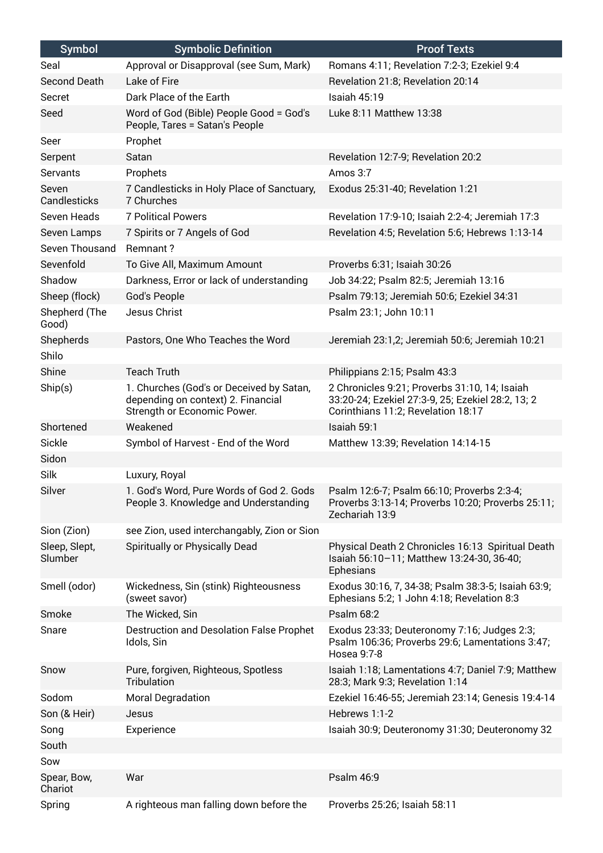| <b>Symbol</b>            | <b>Symbolic Definition</b>                                                                                    | <b>Proof Texts</b>                                                                                                                       |
|--------------------------|---------------------------------------------------------------------------------------------------------------|------------------------------------------------------------------------------------------------------------------------------------------|
| Seal                     | Approval or Disapproval (see Sum, Mark)                                                                       | Romans 4:11; Revelation 7:2-3; Ezekiel 9:4                                                                                               |
| Second Death             | Lake of Fire                                                                                                  | Revelation 21:8; Revelation 20:14                                                                                                        |
| Secret                   | Dark Place of the Earth                                                                                       | Isaiah 45:19                                                                                                                             |
| Seed                     | Word of God (Bible) People Good = God's<br>People, Tares = Satan's People                                     | Luke 8:11 Matthew 13:38                                                                                                                  |
| Seer                     | Prophet                                                                                                       |                                                                                                                                          |
| Serpent                  | Satan                                                                                                         | Revelation 12:7-9; Revelation 20:2                                                                                                       |
| <b>Servants</b>          | Prophets                                                                                                      | Amos 3:7                                                                                                                                 |
| Seven<br>Candlesticks    | 7 Candlesticks in Holy Place of Sanctuary,<br>7 Churches                                                      | Exodus 25:31-40; Revelation 1:21                                                                                                         |
| Seven Heads              | <b>7 Political Powers</b>                                                                                     | Revelation 17:9-10; Isaiah 2:2-4; Jeremiah 17:3                                                                                          |
| Seven Lamps              | 7 Spirits or 7 Angels of God                                                                                  | Revelation 4:5; Revelation 5:6; Hebrews 1:13-14                                                                                          |
| Seven Thousand           | Remnant?                                                                                                      |                                                                                                                                          |
| Sevenfold                | To Give All, Maximum Amount                                                                                   | Proverbs 6:31; Isaiah 30:26                                                                                                              |
| Shadow                   | Darkness, Error or lack of understanding                                                                      | Job 34:22; Psalm 82:5; Jeremiah 13:16                                                                                                    |
| Sheep (flock)            | God's People                                                                                                  | Psalm 79:13; Jeremiah 50:6; Ezekiel 34:31                                                                                                |
| Shepherd (The<br>Good)   | Jesus Christ                                                                                                  | Psalm 23:1; John 10:11                                                                                                                   |
| Shepherds                | Pastors, One Who Teaches the Word                                                                             | Jeremiah 23:1,2; Jeremiah 50:6; Jeremiah 10:21                                                                                           |
| Shilo                    |                                                                                                               |                                                                                                                                          |
| Shine                    | <b>Teach Truth</b>                                                                                            | Philippians 2:15; Psalm 43:3                                                                                                             |
| Ship(s)                  | 1. Churches (God's or Deceived by Satan,<br>depending on context) 2. Financial<br>Strength or Economic Power. | 2 Chronicles 9:21; Proverbs 31:10, 14; Isaiah<br>33:20-24; Ezekiel 27:3-9, 25; Ezekiel 28:2, 13; 2<br>Corinthians 11:2; Revelation 18:17 |
| Shortened                | Weakened                                                                                                      | Isaiah 59:1                                                                                                                              |
| Sickle                   | Symbol of Harvest - End of the Word                                                                           | Matthew 13:39; Revelation 14:14-15                                                                                                       |
| Sidon                    |                                                                                                               |                                                                                                                                          |
| Silk                     | Luxury, Royal                                                                                                 |                                                                                                                                          |
| Silver                   | 1. God's Word, Pure Words of God 2. Gods<br>People 3. Knowledge and Understanding                             | Psalm 12:6-7; Psalm 66:10; Proverbs 2:3-4;<br>Proverbs 3:13-14; Proverbs 10:20; Proverbs 25:11;<br>Zechariah 13:9                        |
| Sion (Zion)              | see Zion, used interchangably, Zion or Sion                                                                   |                                                                                                                                          |
| Sleep, Slept,<br>Slumber | Spiritually or Physically Dead                                                                                | Physical Death 2 Chronicles 16:13 Spiritual Death<br>Isaiah 56:10-11; Matthew 13:24-30, 36-40;<br>Ephesians                              |
| Smell (odor)             | Wickedness, Sin (stink) Righteousness<br>(sweet savor)                                                        | Exodus 30:16, 7, 34-38; Psalm 38:3-5; Isaiah 63:9;<br>Ephesians 5:2; 1 John 4:18; Revelation 8:3                                         |
| Smoke                    | The Wicked, Sin                                                                                               | Psalm 68:2                                                                                                                               |
| Snare                    | Destruction and Desolation False Prophet<br>Idols, Sin                                                        | Exodus 23:33; Deuteronomy 7:16; Judges 2:3;<br>Psalm 106:36; Proverbs 29:6; Lamentations 3:47;<br>Hosea 9:7-8                            |
| Snow                     | Pure, forgiven, Righteous, Spotless<br>Tribulation                                                            | Isaiah 1:18; Lamentations 4:7; Daniel 7:9; Matthew<br>28:3; Mark 9:3; Revelation 1:14                                                    |
| Sodom                    | Moral Degradation                                                                                             | Ezekiel 16:46-55; Jeremiah 23:14; Genesis 19:4-14                                                                                        |
| Son (& Heir)             | Jesus                                                                                                         | Hebrews 1:1-2                                                                                                                            |
| Song                     | Experience                                                                                                    | Isaiah 30:9; Deuteronomy 31:30; Deuteronomy 32                                                                                           |
| South                    |                                                                                                               |                                                                                                                                          |
| Sow                      |                                                                                                               |                                                                                                                                          |
| Spear, Bow,<br>Chariot   | War                                                                                                           | Psalm 46:9                                                                                                                               |
| Spring                   | A righteous man falling down before the                                                                       | Proverbs 25:26; Isaiah 58:11                                                                                                             |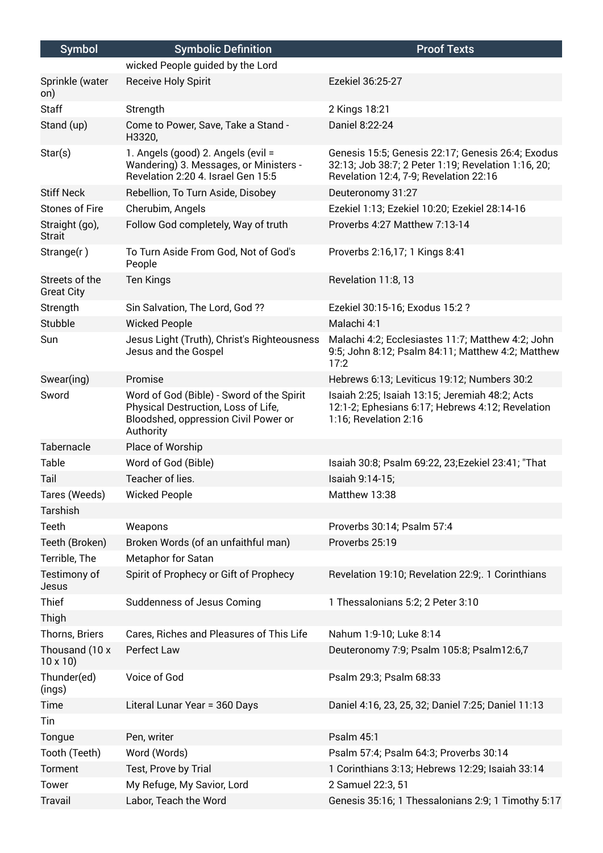| <b>Symbol</b>                       | <b>Symbolic Definition</b>                                                                                                            | <b>Proof Texts</b>                                                                                                                                 |
|-------------------------------------|---------------------------------------------------------------------------------------------------------------------------------------|----------------------------------------------------------------------------------------------------------------------------------------------------|
|                                     | wicked People guided by the Lord                                                                                                      |                                                                                                                                                    |
| Sprinkle (water<br>on)              | Receive Holy Spirit                                                                                                                   | Ezekiel 36:25-27                                                                                                                                   |
| <b>Staff</b>                        | Strength                                                                                                                              | 2 Kings 18:21                                                                                                                                      |
| Stand (up)                          | Come to Power, Save, Take a Stand -<br>H3320,                                                                                         | Daniel 8:22-24                                                                                                                                     |
| Star(s)                             | 1. Angels (good) 2. Angels (evil =<br>Wandering) 3. Messages, or Ministers -<br>Revelation 2:20 4. Israel Gen 15:5                    | Genesis 15:5; Genesis 22:17; Genesis 26:4; Exodus<br>32:13; Job 38:7; 2 Peter 1:19; Revelation 1:16, 20;<br>Revelation 12:4, 7-9; Revelation 22:16 |
| <b>Stiff Neck</b>                   | Rebellion, To Turn Aside, Disobey                                                                                                     | Deuteronomy 31:27                                                                                                                                  |
| <b>Stones of Fire</b>               | Cherubim, Angels                                                                                                                      | Ezekiel 1:13; Ezekiel 10:20; Ezekiel 28:14-16                                                                                                      |
| Straight (go),<br><b>Strait</b>     | Follow God completely, Way of truth                                                                                                   | Proverbs 4:27 Matthew 7:13-14                                                                                                                      |
| Strange(r)                          | To Turn Aside From God, Not of God's<br>People                                                                                        | Proverbs 2:16,17; 1 Kings 8:41                                                                                                                     |
| Streets of the<br><b>Great City</b> | <b>Ten Kings</b>                                                                                                                      | Revelation 11:8, 13                                                                                                                                |
| Strength                            | Sin Salvation, The Lord, God ??                                                                                                       | Ezekiel 30:15-16; Exodus 15:2 ?                                                                                                                    |
| Stubble                             | <b>Wicked People</b>                                                                                                                  | Malachi 4:1                                                                                                                                        |
| Sun                                 | Jesus Light (Truth), Christ's Righteousness<br>Jesus and the Gospel                                                                   | Malachi 4:2; Ecclesiastes 11:7; Matthew 4:2; John<br>9:5; John 8:12; Psalm 84:11; Matthew 4:2; Matthew<br>17:2                                     |
| Swear(ing)                          | Promise                                                                                                                               | Hebrews 6:13; Leviticus 19:12; Numbers 30:2                                                                                                        |
| Sword                               | Word of God (Bible) - Sword of the Spirit<br>Physical Destruction, Loss of Life,<br>Bloodshed, oppression Civil Power or<br>Authority | Isaiah 2:25; Isaiah 13:15; Jeremiah 48:2; Acts<br>12:1-2; Ephesians 6:17; Hebrews 4:12; Revelation<br>1:16; Revelation 2:16                        |
| Tabernacle                          | Place of Worship                                                                                                                      |                                                                                                                                                    |
| Table                               | Word of God (Bible)                                                                                                                   | Isaiah 30:8; Psalm 69:22, 23; Ezekiel 23:41; "That                                                                                                 |
| Tail                                | Teacher of lies.                                                                                                                      | Isaiah 9:14-15;                                                                                                                                    |
| Tares (Weeds)                       | <b>Wicked People</b>                                                                                                                  | Matthew 13:38                                                                                                                                      |
| <b>Tarshish</b>                     |                                                                                                                                       |                                                                                                                                                    |
| Teeth                               | Weapons                                                                                                                               | Proverbs 30:14; Psalm 57:4                                                                                                                         |
| Teeth (Broken)                      | Broken Words (of an unfaithful man)                                                                                                   | Proverbs 25:19                                                                                                                                     |
| Terrible, The                       | Metaphor for Satan                                                                                                                    |                                                                                                                                                    |
| Testimony of<br>Jesus               | Spirit of Prophecy or Gift of Prophecy                                                                                                | Revelation 19:10; Revelation 22:9; 1 Corinthians                                                                                                   |
| Thief                               | Suddenness of Jesus Coming                                                                                                            | 1 Thessalonians 5:2; 2 Peter 3:10                                                                                                                  |
| Thigh                               |                                                                                                                                       |                                                                                                                                                    |
| Thorns, Briers                      | Cares, Riches and Pleasures of This Life                                                                                              | Nahum 1:9-10; Luke 8:14                                                                                                                            |
| Thousand (10 x<br>$10 \times 10$    | Perfect Law                                                                                                                           | Deuteronomy 7:9; Psalm 105:8; Psalm12:6,7                                                                                                          |
| Thunder(ed)<br>(ings)               | Voice of God                                                                                                                          | Psalm 29:3; Psalm 68:33                                                                                                                            |
| Time                                | Literal Lunar Year = 360 Days                                                                                                         | Daniel 4:16, 23, 25, 32; Daniel 7:25; Daniel 11:13                                                                                                 |
| Tin                                 |                                                                                                                                       |                                                                                                                                                    |
| Tongue                              | Pen, writer                                                                                                                           | Psalm 45:1                                                                                                                                         |
| Tooth (Teeth)                       | Word (Words)                                                                                                                          | Psalm 57:4; Psalm 64:3; Proverbs 30:14                                                                                                             |
| Torment                             | Test, Prove by Trial                                                                                                                  | 1 Corinthians 3:13; Hebrews 12:29; Isaiah 33:14                                                                                                    |
| Tower                               | My Refuge, My Savior, Lord                                                                                                            | 2 Samuel 22:3, 51                                                                                                                                  |
| <b>Travail</b>                      | Labor, Teach the Word                                                                                                                 | Genesis 35:16; 1 Thessalonians 2:9; 1 Timothy 5:17                                                                                                 |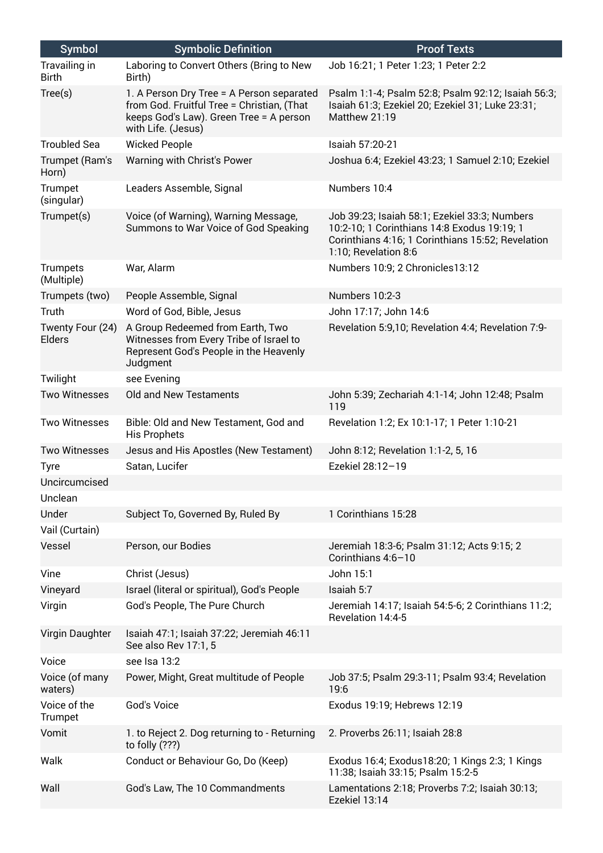| <b>Symbol</b>                 | <b>Symbolic Definition</b>                                                                                                                               | <b>Proof Texts</b>                                                                                                                                                        |
|-------------------------------|----------------------------------------------------------------------------------------------------------------------------------------------------------|---------------------------------------------------------------------------------------------------------------------------------------------------------------------------|
| Travailing in<br><b>Birth</b> | Laboring to Convert Others (Bring to New<br>Birth)                                                                                                       | Job 16:21; 1 Peter 1:23; 1 Peter 2:2                                                                                                                                      |
| Tree(s)                       | 1. A Person Dry Tree = A Person separated<br>from God. Fruitful Tree = Christian, (That<br>keeps God's Law). Green Tree = A person<br>with Life. (Jesus) | Psalm 1:1-4; Psalm 52:8; Psalm 92:12; Isaiah 56:3;<br>Isaiah 61:3; Ezekiel 20; Ezekiel 31; Luke 23:31;<br>Matthew 21:19                                                   |
| <b>Troubled Sea</b>           | <b>Wicked People</b>                                                                                                                                     | Isaiah 57:20-21                                                                                                                                                           |
| Trumpet (Ram's<br>Horn)       | Warning with Christ's Power                                                                                                                              | Joshua 6:4; Ezekiel 43:23; 1 Samuel 2:10; Ezekiel                                                                                                                         |
| Trumpet<br>(singular)         | Leaders Assemble, Signal                                                                                                                                 | Numbers 10:4                                                                                                                                                              |
| Trumpet(s)                    | Voice (of Warning), Warning Message,<br>Summons to War Voice of God Speaking                                                                             | Job 39:23; Isaiah 58:1; Ezekiel 33:3; Numbers<br>10:2-10; 1 Corinthians 14:8 Exodus 19:19; 1<br>Corinthians 4:16; 1 Corinthians 15:52; Revelation<br>1:10; Revelation 8:6 |
| <b>Trumpets</b><br>(Multiple) | War, Alarm                                                                                                                                               | Numbers 10:9; 2 Chronicles13:12                                                                                                                                           |
| Trumpets (two)                | People Assemble, Signal                                                                                                                                  | Numbers 10:2-3                                                                                                                                                            |
| Truth                         | Word of God, Bible, Jesus                                                                                                                                | John 17:17; John 14:6                                                                                                                                                     |
| Twenty Four (24)<br>Elders    | A Group Redeemed from Earth, Two<br>Witnesses from Every Tribe of Israel to<br>Represent God's People in the Heavenly<br>Judgment                        | Revelation 5:9,10; Revelation 4:4; Revelation 7:9-                                                                                                                        |
| Twilight                      | see Evening                                                                                                                                              |                                                                                                                                                                           |
| <b>Two Witnesses</b>          | Old and New Testaments                                                                                                                                   | John 5:39; Zechariah 4:1-14; John 12:48; Psalm<br>119                                                                                                                     |
| <b>Two Witnesses</b>          | Bible: Old and New Testament, God and<br><b>His Prophets</b>                                                                                             | Revelation 1:2; Ex 10:1-17; 1 Peter 1:10-21                                                                                                                               |
| <b>Two Witnesses</b>          | Jesus and His Apostles (New Testament)                                                                                                                   | John 8:12; Revelation 1:1-2, 5, 16                                                                                                                                        |
| <b>Tyre</b>                   | Satan, Lucifer                                                                                                                                           | Ezekiel 28:12-19                                                                                                                                                          |
| Uncircumcised                 |                                                                                                                                                          |                                                                                                                                                                           |
| Unclean                       |                                                                                                                                                          |                                                                                                                                                                           |
| Under                         | Subject To, Governed By, Ruled By                                                                                                                        | 1 Corinthians 15:28                                                                                                                                                       |
| Vail (Curtain)                |                                                                                                                                                          |                                                                                                                                                                           |
| Vessel                        | Person, our Bodies                                                                                                                                       | Jeremiah 18:3-6; Psalm 31:12; Acts 9:15; 2<br>Corinthians 4:6-10                                                                                                          |
| Vine                          | Christ (Jesus)                                                                                                                                           | John 15:1                                                                                                                                                                 |
| Vineyard                      | Israel (literal or spiritual), God's People                                                                                                              | Isaiah 5:7                                                                                                                                                                |
| Virgin                        | God's People, The Pure Church                                                                                                                            | Jeremiah 14:17; Isaiah 54:5-6; 2 Corinthians 11:2;<br>Revelation 14:4-5                                                                                                   |
| Virgin Daughter               | Isaiah 47:1; Isaiah 37:22; Jeremiah 46:11<br>See also Rev 17:1, 5                                                                                        |                                                                                                                                                                           |
| Voice                         | see Isa 13:2                                                                                                                                             |                                                                                                                                                                           |
| Voice (of many<br>waters)     | Power, Might, Great multitude of People                                                                                                                  | Job 37:5; Psalm 29:3-11; Psalm 93:4; Revelation<br>19:6                                                                                                                   |
| Voice of the<br>Trumpet       | God's Voice                                                                                                                                              | Exodus 19:19; Hebrews 12:19                                                                                                                                               |
| Vomit                         | 1. to Reject 2. Dog returning to - Returning<br>to folly (???)                                                                                           | 2. Proverbs 26:11; Isaiah 28:8                                                                                                                                            |
| Walk                          | Conduct or Behaviour Go, Do (Keep)                                                                                                                       | Exodus 16:4; Exodus 18:20; 1 Kings 2:3; 1 Kings<br>11:38; Isaiah 33:15; Psalm 15:2-5                                                                                      |
| Wall                          | God's Law, The 10 Commandments                                                                                                                           | Lamentations 2:18; Proverbs 7:2; Isaiah 30:13;<br>Ezekiel 13:14                                                                                                           |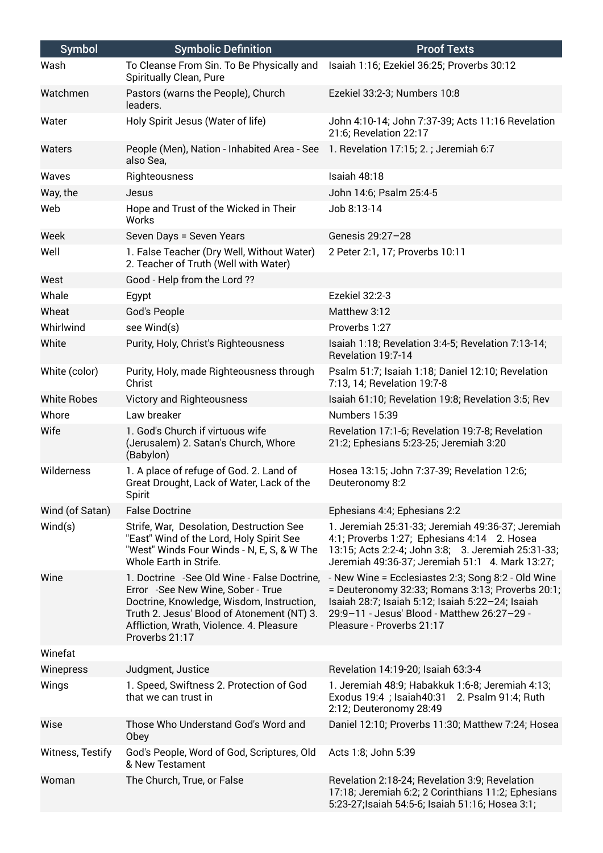| <b>Symbol</b>      | <b>Symbolic Definition</b>                                                                                                                                                                                                                 | <b>Proof Texts</b>                                                                                                                                                                                                                     |
|--------------------|--------------------------------------------------------------------------------------------------------------------------------------------------------------------------------------------------------------------------------------------|----------------------------------------------------------------------------------------------------------------------------------------------------------------------------------------------------------------------------------------|
| Wash               | To Cleanse From Sin. To Be Physically and<br>Spiritually Clean, Pure                                                                                                                                                                       | Isaiah 1:16; Ezekiel 36:25; Proverbs 30:12                                                                                                                                                                                             |
| Watchmen           | Pastors (warns the People), Church<br>leaders.                                                                                                                                                                                             | Ezekiel 33:2-3; Numbers 10:8                                                                                                                                                                                                           |
| Water              | Holy Spirit Jesus (Water of life)                                                                                                                                                                                                          | John 4:10-14; John 7:37-39; Acts 11:16 Revelation<br>21:6; Revelation 22:17                                                                                                                                                            |
| Waters             | People (Men), Nation - Inhabited Area - See 1. Revelation 17:15; 2.; Jeremiah 6:7<br>also Sea,                                                                                                                                             |                                                                                                                                                                                                                                        |
| Waves              | Righteousness                                                                                                                                                                                                                              | Isaiah 48:18                                                                                                                                                                                                                           |
| Way, the           | Jesus                                                                                                                                                                                                                                      | John 14:6; Psalm 25:4-5                                                                                                                                                                                                                |
| Web                | Hope and Trust of the Wicked in Their<br>Works                                                                                                                                                                                             | Job 8:13-14                                                                                                                                                                                                                            |
| Week               | Seven Days = Seven Years                                                                                                                                                                                                                   | Genesis 29:27-28                                                                                                                                                                                                                       |
| Well               | 1. False Teacher (Dry Well, Without Water)<br>2. Teacher of Truth (Well with Water)                                                                                                                                                        | 2 Peter 2:1, 17; Proverbs 10:11                                                                                                                                                                                                        |
| West               | Good - Help from the Lord ??                                                                                                                                                                                                               |                                                                                                                                                                                                                                        |
| Whale              | Egypt                                                                                                                                                                                                                                      | Ezekiel 32:2-3                                                                                                                                                                                                                         |
| Wheat              | God's People                                                                                                                                                                                                                               | Matthew 3:12                                                                                                                                                                                                                           |
| Whirlwind          | see Wind(s)                                                                                                                                                                                                                                | Proverbs 1:27                                                                                                                                                                                                                          |
| White              | Purity, Holy, Christ's Righteousness                                                                                                                                                                                                       | Isaiah 1:18; Revelation 3:4-5; Revelation 7:13-14;<br>Revelation 19:7-14                                                                                                                                                               |
| White (color)      | Purity, Holy, made Righteousness through<br>Christ                                                                                                                                                                                         | Psalm 51:7; Isaiah 1:18; Daniel 12:10; Revelation<br>7:13, 14; Revelation 19:7-8                                                                                                                                                       |
| <b>White Robes</b> | Victory and Righteousness                                                                                                                                                                                                                  | Isaiah 61:10; Revelation 19:8; Revelation 3:5; Rev                                                                                                                                                                                     |
| Whore              | Law breaker                                                                                                                                                                                                                                | Numbers 15:39                                                                                                                                                                                                                          |
| Wife               | 1. God's Church if virtuous wife<br>(Jerusalem) 2. Satan's Church, Whore<br>(Babylon)                                                                                                                                                      | Revelation 17:1-6; Revelation 19:7-8; Revelation<br>21:2; Ephesians 5:23-25; Jeremiah 3:20                                                                                                                                             |
| Wilderness         | 1. A place of refuge of God. 2. Land of<br>Great Drought, Lack of Water, Lack of the<br>Spirit                                                                                                                                             | Hosea 13:15; John 7:37-39; Revelation 12:6;<br>Deuteronomy 8:2                                                                                                                                                                         |
| Wind (of Satan)    | <b>False Doctrine</b>                                                                                                                                                                                                                      | Ephesians 4:4; Ephesians 2:2                                                                                                                                                                                                           |
| Wind(s)            | Strife, War, Desolation, Destruction See<br>"East" Wind of the Lord, Holy Spirit See<br>"West" Winds Four Winds - N, E, S, & W The<br>Whole Earth in Strife.                                                                               | 1. Jeremiah 25:31-33; Jeremiah 49:36-37; Jeremiah<br>4:1; Proverbs 1:27; Ephesians 4:14 2. Hosea<br>13:15; Acts 2:2-4; John 3:8; 3. Jeremiah 25:31-33;<br>Jeremiah 49:36-37; Jeremiah 51:1 4. Mark 13:27;                              |
| Wine               | 1. Doctrine - See Old Wine - False Doctrine,<br>Error -See New Wine, Sober - True<br>Doctrine, Knowledge, Wisdom, Instruction,<br>Truth 2. Jesus' Blood of Atonement (NT) 3.<br>Affliction, Wrath, Violence. 4. Pleasure<br>Proverbs 21:17 | - New Wine = Ecclesiastes 2:3; Song 8:2 - Old Wine<br>= Deuteronomy 32:33; Romans 3:13; Proverbs 20:1;<br>Isaiah 28:7; Isaiah 5:12; Isaiah 5:22-24; Isaiah<br>29:9-11 - Jesus' Blood - Matthew 26:27-29 -<br>Pleasure - Proverbs 21:17 |
| Winefat            |                                                                                                                                                                                                                                            |                                                                                                                                                                                                                                        |
| Winepress          | Judgment, Justice                                                                                                                                                                                                                          | Revelation 14:19-20; Isaiah 63:3-4                                                                                                                                                                                                     |
| Wings              | 1. Speed, Swiftness 2. Protection of God<br>that we can trust in                                                                                                                                                                           | 1. Jeremiah 48:9; Habakkuk 1:6-8; Jeremiah 4:13;<br>Exodus 19:4 ; Isaiah40:31<br>2. Psalm 91:4; Ruth<br>2:12; Deuteronomy 28:49                                                                                                        |
| Wise               | Those Who Understand God's Word and<br>Obey                                                                                                                                                                                                | Daniel 12:10; Proverbs 11:30; Matthew 7:24; Hosea                                                                                                                                                                                      |
| Witness, Testify   | God's People, Word of God, Scriptures, Old<br>& New Testament                                                                                                                                                                              | Acts 1:8; John 5:39                                                                                                                                                                                                                    |
| Woman              | The Church, True, or False                                                                                                                                                                                                                 | Revelation 2:18-24; Revelation 3:9; Revelation<br>17:18; Jeremiah 6:2; 2 Corinthians 11:2; Ephesians<br>5:23-27; Isaiah 54:5-6; Isaiah 51:16; Hosea 3:1;                                                                               |